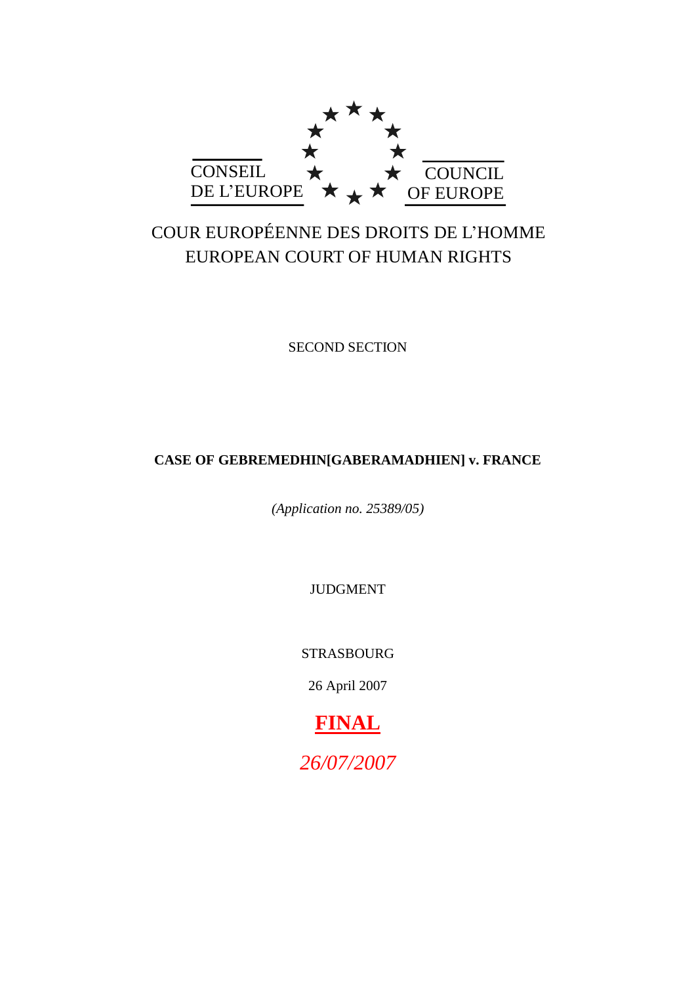

# COUR EUROPÉENNE DES DROITS DE L"HOMME EUROPEAN COURT OF HUMAN RIGHTS

SECOND SECTION

# **CASE OF GEBREMEDHIN[GABERAMADHIEN] v. FRANCE**

*(Application no. 25389/05)*

JUDGMENT

STRASBOURG

26 April 2007

**FINAL** *26/07/2007*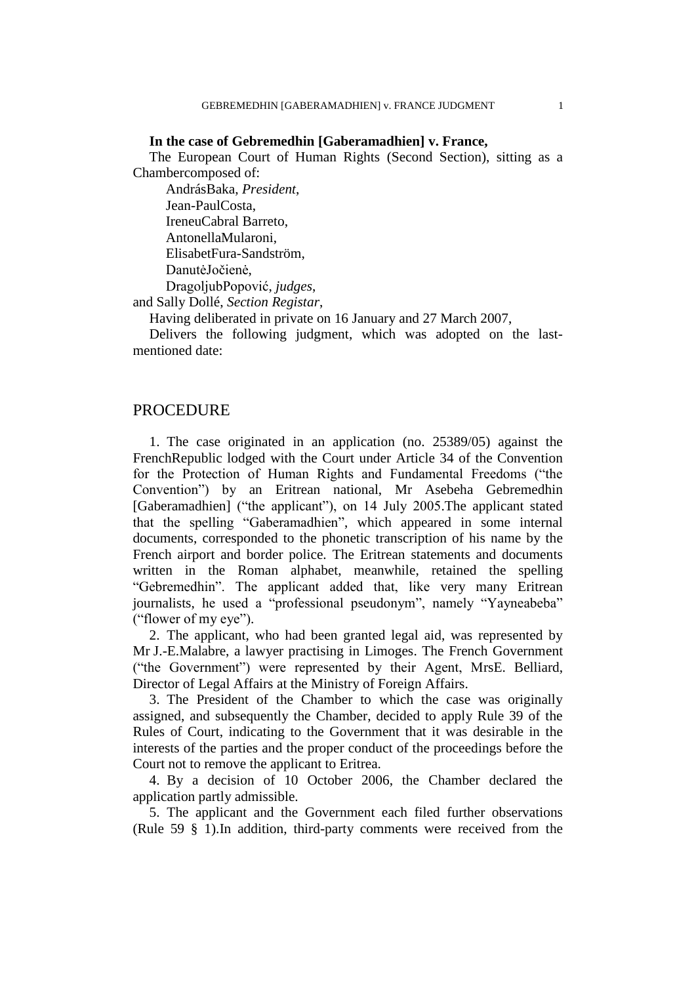### **In the case of Gebremedhin [Gaberamadhien] v. France,**

The European Court of Human Rights (Second Section), sitting as a Chambercomposed of:

AndrásBaka, *President*, Jean-PaulCosta, IreneuCabral Barreto, AntonellaMularoni, ElisabetFura-Sandström, DanutėJočienė, DragoljubPopović, *judges*, and Sally Dollé, *Section Registar*,

Having deliberated in private on 16 January and 27 March 2007,

Delivers the following judgment, which was adopted on the lastmentioned date:

# **PROCEDURE**

1. The case originated in an application (no. 25389/05) against the FrenchRepublic lodged with the Court under Article 34 of the Convention for the Protection of Human Rights and Fundamental Freedoms ("the Convention") by an Eritrean national, Mr Asebeha Gebremedhin [Gaberamadhien] ("the applicant"), on 14 July 2005. The applicant stated that the spelling "Gaberamadhien", which appeared in some internal documents, corresponded to the phonetic transcription of his name by the French airport and border police. The Eritrean statements and documents written in the Roman alphabet, meanwhile, retained the spelling "Gebremedhin". The applicant added that, like very many Eritrean journalists, he used a "professional pseudonym", namely "Yayneabeba" ("flower of my eye").

2. The applicant, who had been granted legal aid, was represented by Mr J.-E.Malabre, a lawyer practising in Limoges. The French Government ("the Government") were represented by their Agent, MrsE. Belliard, Director of Legal Affairs at the Ministry of Foreign Affairs.

3. The President of the Chamber to which the case was originally assigned, and subsequently the Chamber, decided to apply Rule 39 of the Rules of Court, indicating to the Government that it was desirable in the interests of the parties and the proper conduct of the proceedings before the Court not to remove the applicant to Eritrea.

4. By a decision of 10 October 2006, the Chamber declared the application partly admissible.

5. The applicant and the Government each filed further observations (Rule 59 § 1).In addition, third-party comments were received from the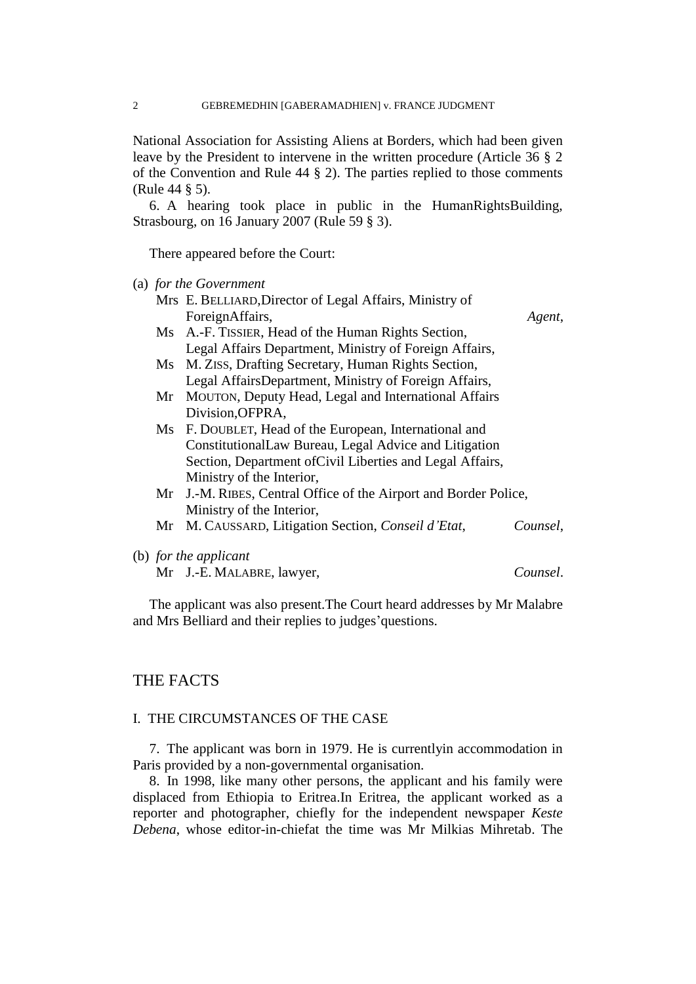National Association for Assisting Aliens at Borders, which had been given leave by the President to intervene in the written procedure (Article 36 § 2 of the Convention and Rule 44 § 2). The parties replied to those comments (Rule 44 § 5).

6. A hearing took place in public in the HumanRightsBuilding, Strasbourg, on 16 January 2007 (Rule 59 § 3).

There appeared before the Court:

(a) *for the Government*

|                        | Mrs E. BELLIARD, Director of Legal Affairs, Ministry of          |          |
|------------------------|------------------------------------------------------------------|----------|
|                        | ForeignAffairs,                                                  | Agent,   |
|                        | Ms A.-F. TISSIER, Head of the Human Rights Section,              |          |
|                        | Legal Affairs Department, Ministry of Foreign Affairs,           |          |
| $\overline{\text{Ms}}$ | M. ZISS, Drafting Secretary, Human Rights Section,               |          |
|                        | Legal AffairsDepartment, Ministry of Foreign Affairs,            |          |
| Mr                     | MOUTON, Deputy Head, Legal and International Affairs             |          |
|                        | Division, OFPRA,                                                 |          |
|                        | Ms F. DOUBLET, Head of the European, International and           |          |
|                        | ConstitutionalLaw Bureau, Legal Advice and Litigation            |          |
|                        | Section, Department of Civil Liberties and Legal Affairs,        |          |
|                        | Ministry of the Interior,                                        |          |
|                        | Mr J.-M. RIBES, Central Office of the Airport and Border Police, |          |
|                        | Ministry of the Interior,                                        |          |
| Mr                     | M. CAUSSARD, Litigation Section, Conseil d'Etat,                 | Counsel. |
|                        | (b) for the applicant                                            |          |
|                        | Mr J.-E. MALABRE, lawyer,                                        | Counsel. |

The applicant was also present.The Court heard addresses by Mr Malabre and Mrs Belliard and their replies to judges' questions.

# THE FACTS

### I. THE CIRCUMSTANCES OF THE CASE

7. The applicant was born in 1979. He is currentlyin accommodation in Paris provided by a non-governmental organisation.

8. In 1998, like many other persons, the applicant and his family were displaced from Ethiopia to Eritrea.In Eritrea, the applicant worked as a reporter and photographer, chiefly for the independent newspaper *Keste Debena*, whose editor-in-chiefat the time was Mr Milkias Mihretab. The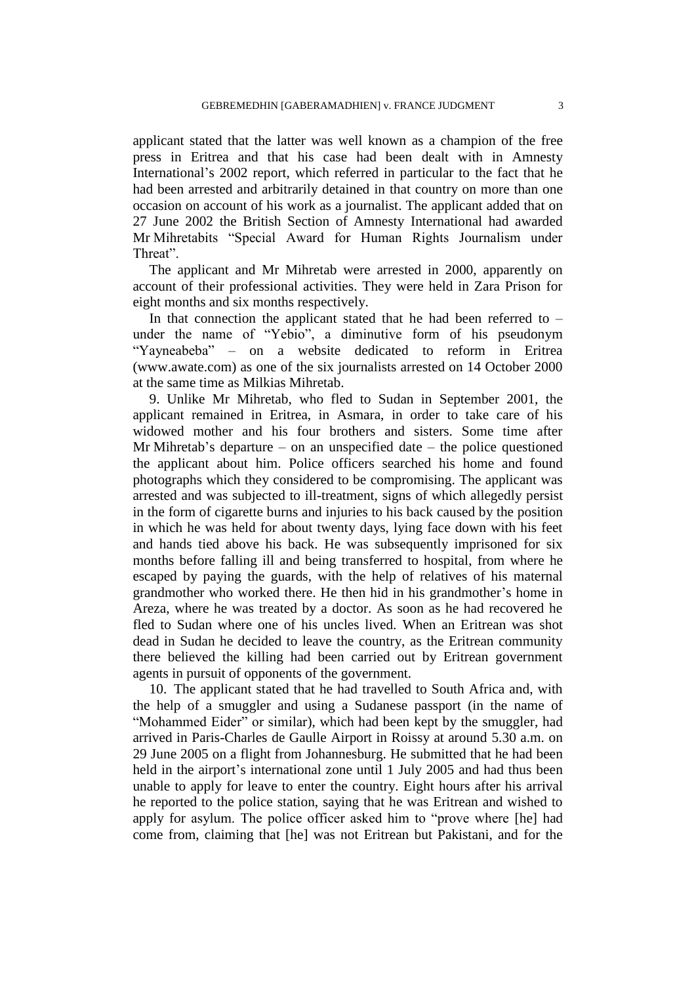applicant stated that the latter was well known as a champion of the free press in Eritrea and that his case had been dealt with in Amnesty International"s 2002 report, which referred in particular to the fact that he had been arrested and arbitrarily detained in that country on more than one occasion on account of his work as a journalist. The applicant added that on 27 June 2002 the British Section of Amnesty International had awarded Mr Mihretabits "Special Award for Human Rights Journalism under Threat".

The applicant and Mr Mihretab were arrested in 2000, apparently on account of their professional activities. They were held in Zara Prison for eight months and six months respectively.

In that connection the applicant stated that he had been referred to  $$ under the name of "Yebio", a diminutive form of his pseudonym "Yayneabeba" – on a website dedicated to reform in Eritrea (www.awate.com) as one of the six journalists arrested on 14 October 2000 at the same time as Milkias Mihretab.

9. Unlike Mr Mihretab, who fled to Sudan in September 2001, the applicant remained in Eritrea, in Asmara, in order to take care of his widowed mother and his four brothers and sisters. Some time after Mr Mihretab's departure – on an unspecified date – the police questioned the applicant about him. Police officers searched his home and found photographs which they considered to be compromising. The applicant was arrested and was subjected to ill-treatment, signs of which allegedly persist in the form of cigarette burns and injuries to his back caused by the position in which he was held for about twenty days, lying face down with his feet and hands tied above his back. He was subsequently imprisoned for six months before falling ill and being transferred to hospital, from where he escaped by paying the guards, with the help of relatives of his maternal grandmother who worked there. He then hid in his grandmother"s home in Areza, where he was treated by a doctor. As soon as he had recovered he fled to Sudan where one of his uncles lived. When an Eritrean was shot dead in Sudan he decided to leave the country, as the Eritrean community there believed the killing had been carried out by Eritrean government agents in pursuit of opponents of the government.

10. The applicant stated that he had travelled to South Africa and, with the help of a smuggler and using a Sudanese passport (in the name of "Mohammed Eider" or similar), which had been kept by the smuggler, had arrived in Paris-Charles de Gaulle Airport in Roissy at around 5.30 a.m. on 29 June 2005 on a flight from Johannesburg. He submitted that he had been held in the airport's international zone until 1 July 2005 and had thus been unable to apply for leave to enter the country. Eight hours after his arrival he reported to the police station, saying that he was Eritrean and wished to apply for asylum. The police officer asked him to "prove where [he] had come from, claiming that [he] was not Eritrean but Pakistani, and for the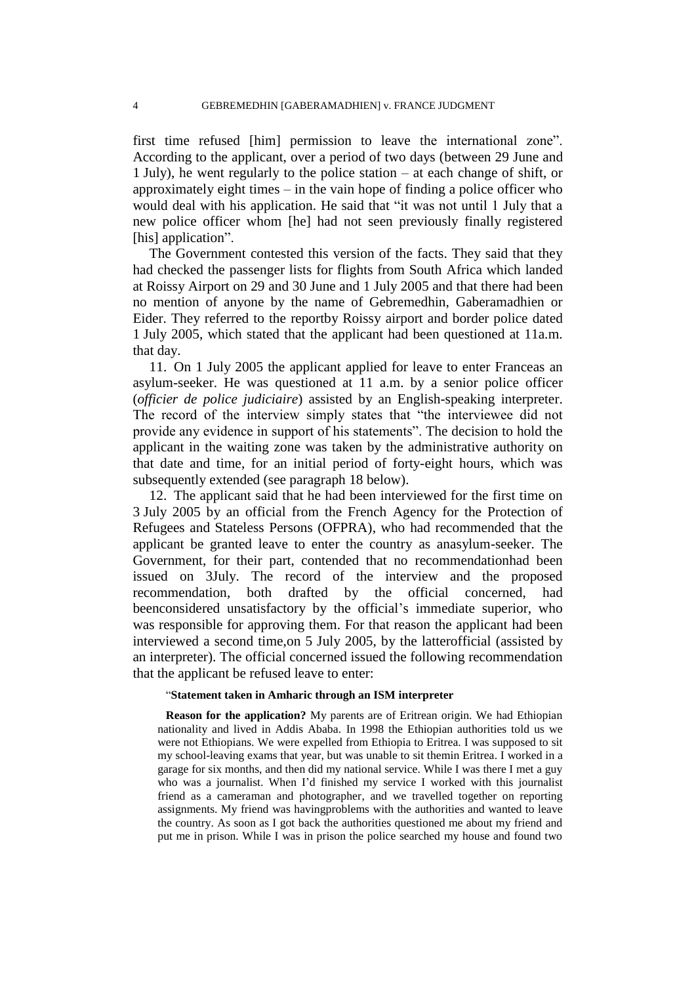first time refused [him] permission to leave the international zone". According to the applicant, over a period of two days (between 29 June and 1 July), he went regularly to the police station – at each change of shift, or approximately eight times – in the vain hope of finding a police officer who would deal with his application. He said that "it was not until 1 July that a new police officer whom [he] had not seen previously finally registered [his] application".

The Government contested this version of the facts. They said that they had checked the passenger lists for flights from South Africa which landed at Roissy Airport on 29 and 30 June and 1 July 2005 and that there had been no mention of anyone by the name of Gebremedhin, Gaberamadhien or Eider. They referred to the reportby Roissy airport and border police dated 1 July 2005, which stated that the applicant had been questioned at 11a.m. that day.

11. On 1 July 2005 the applicant applied for leave to enter Franceas an asylum-seeker. He was questioned at 11 a.m. by a senior police officer (*officier de police judiciaire*) assisted by an English-speaking interpreter. The record of the interview simply states that "the interviewee did not provide any evidence in support of his statements". The decision to hold the applicant in the waiting zone was taken by the administrative authority on that date and time, for an initial period of forty-eight hours, which was subsequently extended (see paragraph 18 below).

12. The applicant said that he had been interviewed for the first time on 3 July 2005 by an official from the French Agency for the Protection of Refugees and Stateless Persons (OFPRA), who had recommended that the applicant be granted leave to enter the country as anasylum-seeker. The Government, for their part, contended that no recommendationhad been issued on 3July. The record of the interview and the proposed recommendation, both drafted by the official concerned, had beenconsidered unsatisfactory by the official's immediate superior, who was responsible for approving them. For that reason the applicant had been interviewed a second time,on 5 July 2005, by the latterofficial (assisted by an interpreter). The official concerned issued the following recommendation that the applicant be refused leave to enter:

### "**Statement taken in Amharic through an ISM interpreter**

**Reason for the application?** My parents are of Eritrean origin. We had Ethiopian nationality and lived in Addis Ababa. In 1998 the Ethiopian authorities told us we were not Ethiopians. We were expelled from Ethiopia to Eritrea. I was supposed to sit my school-leaving exams that year, but was unable to sit themin Eritrea. I worked in a garage for six months, and then did my national service. While I was there I met a guy who was a journalist. When I"d finished my service I worked with this journalist friend as a cameraman and photographer, and we travelled together on reporting assignments. My friend was havingproblems with the authorities and wanted to leave the country. As soon as I got back the authorities questioned me about my friend and put me in prison. While I was in prison the police searched my house and found two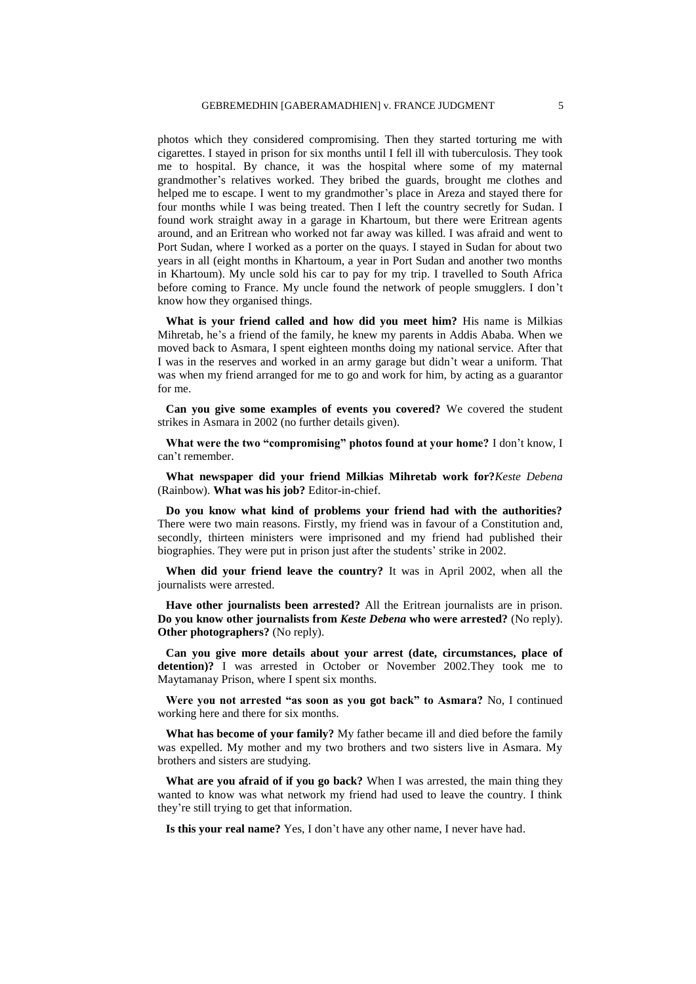photos which they considered compromising. Then they started torturing me with cigarettes. I stayed in prison for six months until I fell ill with tuberculosis. They took me to hospital. By chance, it was the hospital where some of my maternal grandmother"s relatives worked. They bribed the guards, brought me clothes and helped me to escape. I went to my grandmother"s place in Areza and stayed there for four months while I was being treated. Then I left the country secretly for Sudan. I found work straight away in a garage in Khartoum, but there were Eritrean agents around, and an Eritrean who worked not far away was killed. I was afraid and went to Port Sudan, where I worked as a porter on the quays. I stayed in Sudan for about two years in all (eight months in Khartoum, a year in Port Sudan and another two months in Khartoum). My uncle sold his car to pay for my trip. I travelled to South Africa before coming to France. My uncle found the network of people smugglers. I don"t know how they organised things.

**What is your friend called and how did you meet him?** His name is Milkias Mihretab, he"s a friend of the family, he knew my parents in Addis Ababa. When we moved back to Asmara, I spent eighteen months doing my national service. After that I was in the reserves and worked in an army garage but didn"t wear a uniform. That was when my friend arranged for me to go and work for him, by acting as a guarantor for me.

**Can you give some examples of events you covered?** We covered the student strikes in Asmara in 2002 (no further details given).

**What were the two "compromising" photos found at your home?** I don"t know, I can"t remember.

**What newspaper did your friend Milkias Mihretab work for?***Keste Debena* (Rainbow). **What was his job?** Editor-in-chief.

**Do you know what kind of problems your friend had with the authorities?** There were two main reasons. Firstly, my friend was in favour of a Constitution and, secondly, thirteen ministers were imprisoned and my friend had published their biographies. They were put in prison just after the students' strike in 2002.

**When did your friend leave the country?** It was in April 2002, when all the journalists were arrested.

**Have other journalists been arrested?** All the Eritrean journalists are in prison. **Do you know other journalists from** *Keste Debena* **who were arrested?** (No reply). **Other photographers?** (No reply).

**Can you give more details about your arrest (date, circumstances, place of detention)?** I was arrested in October or November 2002.They took me to Maytamanay Prison, where I spent six months.

**Were you not arrested "as soon as you got back" to Asmara?** No, I continued working here and there for six months.

**What has become of your family?** My father became ill and died before the family was expelled. My mother and my two brothers and two sisters live in Asmara. My brothers and sisters are studying.

**What are you afraid of if you go back?** When I was arrested, the main thing they wanted to know was what network my friend had used to leave the country. I think they"re still trying to get that information.

Is this your real name? Yes, I don't have any other name, I never have had.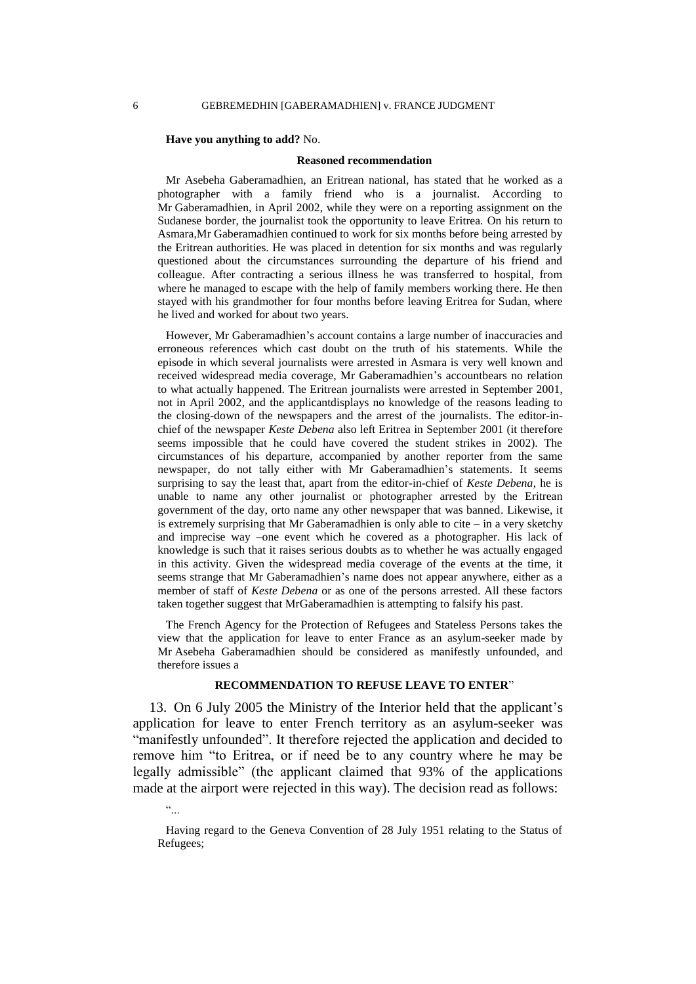#### **Have you anything to add?** No.

#### **Reasoned recommendation**

Mr Asebeha Gaberamadhien, an Eritrean national, has stated that he worked as a photographer with a family friend who is a journalist. According to Mr Gaberamadhien, in April 2002, while they were on a reporting assignment on the Sudanese border, the journalist took the opportunity to leave Eritrea. On his return to Asmara,Mr Gaberamadhien continued to work for six months before being arrested by the Eritrean authorities. He was placed in detention for six months and was regularly questioned about the circumstances surrounding the departure of his friend and colleague. After contracting a serious illness he was transferred to hospital, from where he managed to escape with the help of family members working there. He then stayed with his grandmother for four months before leaving Eritrea for Sudan, where he lived and worked for about two years.

However, Mr Gaberamadhien"s account contains a large number of inaccuracies and erroneous references which cast doubt on the truth of his statements. While the episode in which several journalists were arrested in Asmara is very well known and received widespread media coverage, Mr Gaberamadhien"s accountbears no relation to what actually happened. The Eritrean journalists were arrested in September 2001, not in April 2002, and the applicantdisplays no knowledge of the reasons leading to the closing-down of the newspapers and the arrest of the journalists. The editor-inchief of the newspaper *Keste Debena* also left Eritrea in September 2001 (it therefore seems impossible that he could have covered the student strikes in 2002). The circumstances of his departure, accompanied by another reporter from the same newspaper, do not tally either with Mr Gaberamadhien"s statements. It seems surprising to say the least that, apart from the editor-in-chief of *Keste Debena*, he is unable to name any other journalist or photographer arrested by the Eritrean government of the day, orto name any other newspaper that was banned. Likewise, it is extremely surprising that Mr Gaberamadhien is only able to cite – in a very sketchy and imprecise way –one event which he covered as a photographer. His lack of knowledge is such that it raises serious doubts as to whether he was actually engaged in this activity. Given the widespread media coverage of the events at the time, it seems strange that Mr Gaberamadhien's name does not appear anywhere, either as a member of staff of *Keste Debena* or as one of the persons arrested. All these factors taken together suggest that MrGaberamadhien is attempting to falsify his past.

The French Agency for the Protection of Refugees and Stateless Persons takes the view that the application for leave to enter France as an asylum-seeker made by Mr Asebeha Gaberamadhien should be considered as manifestly unfounded, and therefore issues a

### **RECOMMENDATION TO REFUSE LEAVE TO ENTER**"

13. On 6 July 2005 the Ministry of the Interior held that the applicant"s application for leave to enter French territory as an asylum-seeker was "manifestly unfounded". It therefore rejected the application and decided to remove him "to Eritrea, or if need be to any country where he may be legally admissible" (the applicant claimed that 93% of the applications made at the airport were rejected in this way). The decision read as follows:

"...

Having regard to the Geneva Convention of 28 July 1951 relating to the Status of Refugees;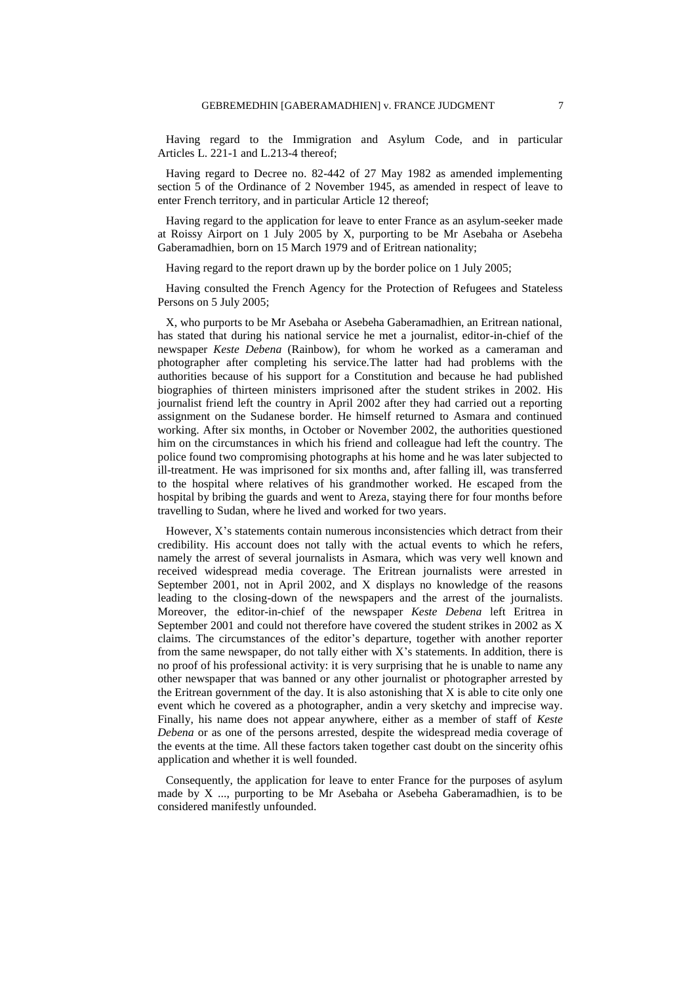Having regard to the Immigration and Asylum Code, and in particular Articles L. 221-1 and L.213-4 thereof;

Having regard to Decree no. 82-442 of 27 May 1982 as amended implementing section 5 of the Ordinance of 2 November 1945, as amended in respect of leave to enter French territory, and in particular Article 12 thereof;

Having regard to the application for leave to enter France as an asylum-seeker made at Roissy Airport on 1 July 2005 by X, purporting to be Mr Asebaha or Asebeha Gaberamadhien, born on 15 March 1979 and of Eritrean nationality;

Having regard to the report drawn up by the border police on 1 July 2005;

Having consulted the French Agency for the Protection of Refugees and Stateless Persons on 5 July 2005;

X, who purports to be Mr Asebaha or Asebeha Gaberamadhien, an Eritrean national, has stated that during his national service he met a journalist, editor-in-chief of the newspaper *Keste Debena* (Rainbow), for whom he worked as a cameraman and photographer after completing his service.The latter had had problems with the authorities because of his support for a Constitution and because he had published biographies of thirteen ministers imprisoned after the student strikes in 2002. His journalist friend left the country in April 2002 after they had carried out a reporting assignment on the Sudanese border. He himself returned to Asmara and continued working. After six months, in October or November 2002, the authorities questioned him on the circumstances in which his friend and colleague had left the country. The police found two compromising photographs at his home and he was later subjected to ill-treatment. He was imprisoned for six months and, after falling ill, was transferred to the hospital where relatives of his grandmother worked. He escaped from the hospital by bribing the guards and went to Areza, staying there for four months before travelling to Sudan, where he lived and worked for two years.

However, X"s statements contain numerous inconsistencies which detract from their credibility. His account does not tally with the actual events to which he refers, namely the arrest of several journalists in Asmara, which was very well known and received widespread media coverage. The Eritrean journalists were arrested in September 2001, not in April 2002, and X displays no knowledge of the reasons leading to the closing-down of the newspapers and the arrest of the journalists. Moreover, the editor-in-chief of the newspaper *Keste Debena* left Eritrea in September 2001 and could not therefore have covered the student strikes in 2002 as X claims. The circumstances of the editor"s departure, together with another reporter from the same newspaper, do not tally either with  $X$ 's statements. In addition, there is no proof of his professional activity: it is very surprising that he is unable to name any other newspaper that was banned or any other journalist or photographer arrested by the Eritrean government of the day. It is also astonishing that  $X$  is able to cite only one event which he covered as a photographer, andin a very sketchy and imprecise way. Finally, his name does not appear anywhere, either as a member of staff of *Keste Debena* or as one of the persons arrested, despite the widespread media coverage of the events at the time. All these factors taken together cast doubt on the sincerity ofhis application and whether it is well founded.

Consequently, the application for leave to enter France for the purposes of asylum made by  $X$  ..., purporting to be Mr Asebaha or Asebeha Gaberamadhien, is to be considered manifestly unfounded.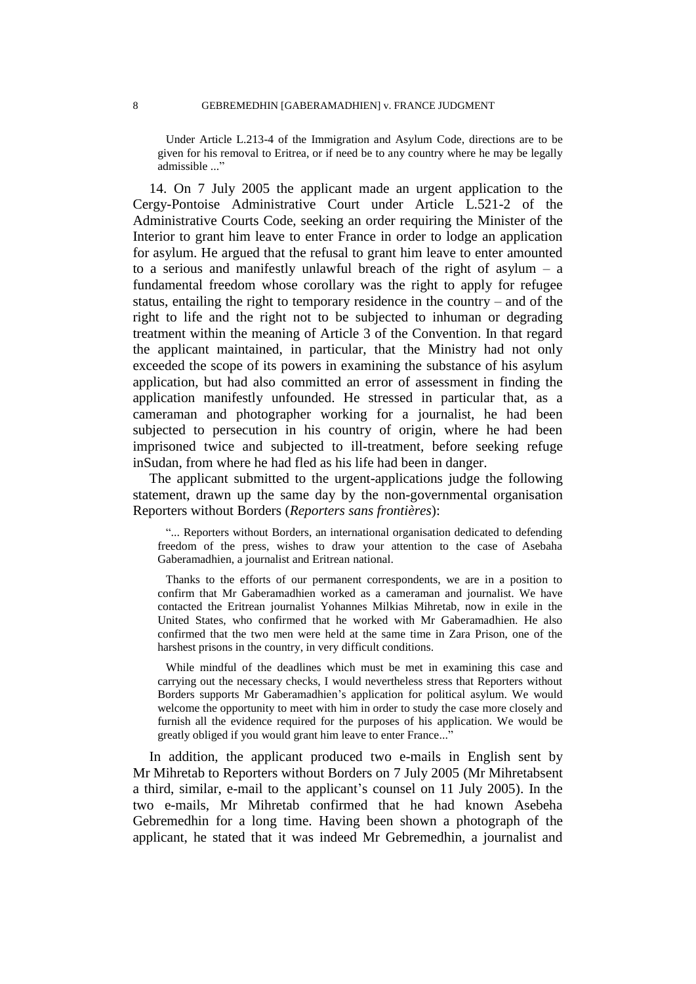Under Article L.213-4 of the Immigration and Asylum Code, directions are to be given for his removal to Eritrea, or if need be to any country where he may be legally admissible ..."

14. On 7 July 2005 the applicant made an urgent application to the Cergy-Pontoise Administrative Court under Article L.521-2 of the Administrative Courts Code, seeking an order requiring the Minister of the Interior to grant him leave to enter France in order to lodge an application for asylum. He argued that the refusal to grant him leave to enter amounted to a serious and manifestly unlawful breach of the right of asylum – a fundamental freedom whose corollary was the right to apply for refugee status, entailing the right to temporary residence in the country – and of the right to life and the right not to be subjected to inhuman or degrading treatment within the meaning of Article 3 of the Convention. In that regard the applicant maintained, in particular, that the Ministry had not only exceeded the scope of its powers in examining the substance of his asylum application, but had also committed an error of assessment in finding the application manifestly unfounded. He stressed in particular that, as a cameraman and photographer working for a journalist, he had been subjected to persecution in his country of origin, where he had been imprisoned twice and subjected to ill-treatment, before seeking refuge inSudan, from where he had fled as his life had been in danger.

The applicant submitted to the urgent-applications judge the following statement, drawn up the same day by the non-governmental organisation Reporters without Borders (*Reporters sans frontières*):

"... Reporters without Borders, an international organisation dedicated to defending freedom of the press, wishes to draw your attention to the case of Asebaha Gaberamadhien, a journalist and Eritrean national.

Thanks to the efforts of our permanent correspondents, we are in a position to confirm that Mr Gaberamadhien worked as a cameraman and journalist. We have contacted the Eritrean journalist Yohannes Milkias Mihretab, now in exile in the United States, who confirmed that he worked with Mr Gaberamadhien. He also confirmed that the two men were held at the same time in Zara Prison, one of the harshest prisons in the country, in very difficult conditions.

While mindful of the deadlines which must be met in examining this case and carrying out the necessary checks, I would nevertheless stress that Reporters without Borders supports Mr Gaberamadhien"s application for political asylum. We would welcome the opportunity to meet with him in order to study the case more closely and furnish all the evidence required for the purposes of his application. We would be greatly obliged if you would grant him leave to enter France..."

In addition, the applicant produced two e-mails in English sent by Mr Mihretab to Reporters without Borders on 7 July 2005 (Mr Mihretabsent a third, similar, e-mail to the applicant's counsel on 11 July 2005). In the two e-mails, Mr Mihretab confirmed that he had known Asebeha Gebremedhin for a long time. Having been shown a photograph of the applicant, he stated that it was indeed Mr Gebremedhin, a journalist and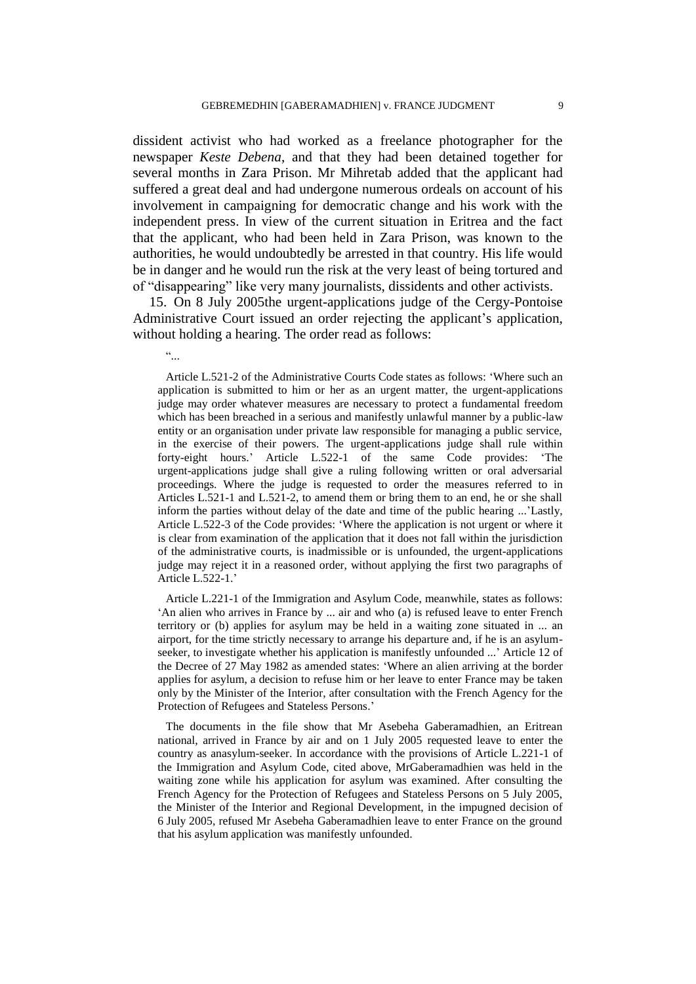dissident activist who had worked as a freelance photographer for the newspaper *Keste Debena*, and that they had been detained together for several months in Zara Prison. Mr Mihretab added that the applicant had suffered a great deal and had undergone numerous ordeals on account of his involvement in campaigning for democratic change and his work with the independent press. In view of the current situation in Eritrea and the fact that the applicant, who had been held in Zara Prison, was known to the authorities, he would undoubtedly be arrested in that country. His life would be in danger and he would run the risk at the very least of being tortured and of "disappearing" like very many journalists, dissidents and other activists.

15. On 8 July 2005the urgent-applications judge of the Cergy-Pontoise Administrative Court issued an order rejecting the applicant's application, without holding a hearing. The order read as follows:

 $\epsilon$  .

Article L.521-2 of the Administrative Courts Code states as follows: "Where such an application is submitted to him or her as an urgent matter, the urgent-applications judge may order whatever measures are necessary to protect a fundamental freedom which has been breached in a serious and manifestly unlawful manner by a public-law entity or an organisation under private law responsible for managing a public service, in the exercise of their powers. The urgent-applications judge shall rule within forty-eight hours." Article L.522-1 of the same Code provides: "The urgent-applications judge shall give a ruling following written or oral adversarial proceedings. Where the judge is requested to order the measures referred to in Articles L.521-1 and L.521-2, to amend them or bring them to an end, he or she shall inform the parties without delay of the date and time of the public hearing ..."Lastly, Article L.522-3 of the Code provides: "Where the application is not urgent or where it is clear from examination of the application that it does not fall within the jurisdiction of the administrative courts, is inadmissible or is unfounded, the urgent-applications judge may reject it in a reasoned order, without applying the first two paragraphs of Article L.522-1."

Article L.221-1 of the Immigration and Asylum Code, meanwhile, states as follows: 'An alien who arrives in France by ... air and who (a) is refused leave to enter French territory or (b) applies for asylum may be held in a waiting zone situated in ... an airport, for the time strictly necessary to arrange his departure and, if he is an asylumseeker, to investigate whether his application is manifestly unfounded ...' Article 12 of the Decree of 27 May 1982 as amended states: "Where an alien arriving at the border applies for asylum, a decision to refuse him or her leave to enter France may be taken only by the Minister of the Interior, after consultation with the French Agency for the Protection of Refugees and Stateless Persons."

The documents in the file show that Mr Asebeha Gaberamadhien, an Eritrean national, arrived in France by air and on 1 July 2005 requested leave to enter the country as anasylum-seeker. In accordance with the provisions of Article L.221-1 of the Immigration and Asylum Code, cited above, MrGaberamadhien was held in the waiting zone while his application for asylum was examined. After consulting the French Agency for the Protection of Refugees and Stateless Persons on 5 July 2005, the Minister of the Interior and Regional Development, in the impugned decision of 6 July 2005, refused Mr Asebeha Gaberamadhien leave to enter France on the ground that his asylum application was manifestly unfounded.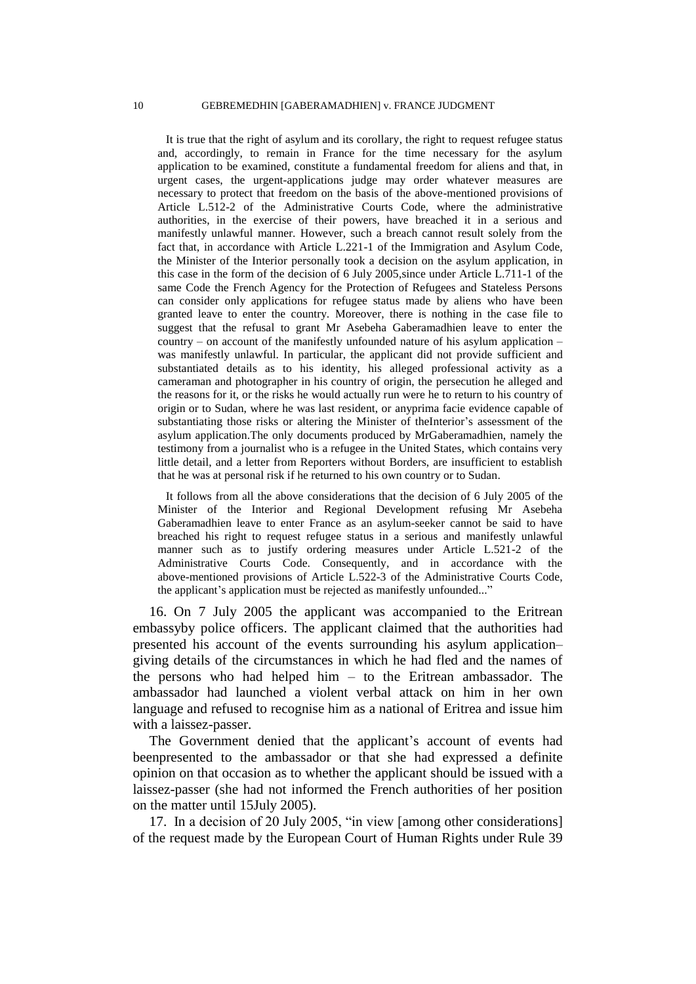It is true that the right of asylum and its corollary, the right to request refugee status and, accordingly, to remain in France for the time necessary for the asylum application to be examined, constitute a fundamental freedom for aliens and that, in urgent cases, the urgent-applications judge may order whatever measures are necessary to protect that freedom on the basis of the above-mentioned provisions of Article L.512-2 of the Administrative Courts Code, where the administrative authorities, in the exercise of their powers, have breached it in a serious and manifestly unlawful manner. However, such a breach cannot result solely from the fact that, in accordance with Article L.221-1 of the Immigration and Asylum Code, the Minister of the Interior personally took a decision on the asylum application, in this case in the form of the decision of 6 July 2005,since under Article L.711-1 of the same Code the French Agency for the Protection of Refugees and Stateless Persons can consider only applications for refugee status made by aliens who have been granted leave to enter the country. Moreover, there is nothing in the case file to suggest that the refusal to grant Mr Asebeha Gaberamadhien leave to enter the country – on account of the manifestly unfounded nature of his asylum application – was manifestly unlawful. In particular, the applicant did not provide sufficient and substantiated details as to his identity, his alleged professional activity as a cameraman and photographer in his country of origin, the persecution he alleged and the reasons for it, or the risks he would actually run were he to return to his country of origin or to Sudan, where he was last resident, or anyprima facie evidence capable of substantiating those risks or altering the Minister of theInterior's assessment of the asylum application.The only documents produced by MrGaberamadhien, namely the testimony from a journalist who is a refugee in the United States, which contains very little detail, and a letter from Reporters without Borders, are insufficient to establish that he was at personal risk if he returned to his own country or to Sudan.

It follows from all the above considerations that the decision of 6 July 2005 of the Minister of the Interior and Regional Development refusing Mr Asebeha Gaberamadhien leave to enter France as an asylum-seeker cannot be said to have breached his right to request refugee status in a serious and manifestly unlawful manner such as to justify ordering measures under Article L.521-2 of the Administrative Courts Code. Consequently, and in accordance with the above-mentioned provisions of Article L.522-3 of the Administrative Courts Code, the applicant's application must be rejected as manifestly unfounded..."

16. On 7 July 2005 the applicant was accompanied to the Eritrean embassyby police officers. The applicant claimed that the authorities had presented his account of the events surrounding his asylum application– giving details of the circumstances in which he had fled and the names of the persons who had helped him – to the Eritrean ambassador. The ambassador had launched a violent verbal attack on him in her own language and refused to recognise him as a national of Eritrea and issue him with a laissez-passer.

The Government denied that the applicant's account of events had beenpresented to the ambassador or that she had expressed a definite opinion on that occasion as to whether the applicant should be issued with a laissez-passer (she had not informed the French authorities of her position on the matter until 15July 2005).

17. In a decision of 20 July 2005, "in view [among other considerations] of the request made by the European Court of Human Rights under Rule 39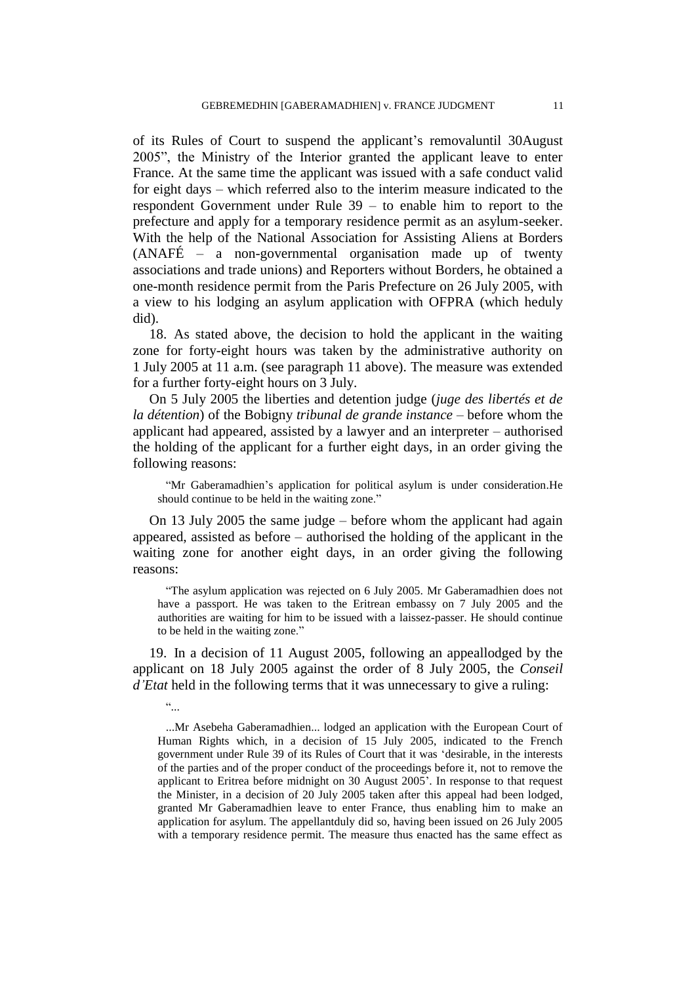of its Rules of Court to suspend the applicant"s removaluntil 30August 2005", the Ministry of the Interior granted the applicant leave to enter France. At the same time the applicant was issued with a safe conduct valid for eight days – which referred also to the interim measure indicated to the respondent Government under Rule 39 – to enable him to report to the prefecture and apply for a temporary residence permit as an asylum-seeker. With the help of the National Association for Assisting Aliens at Borders (ANAFÉ – a non-governmental organisation made up of twenty associations and trade unions) and Reporters without Borders, he obtained a one-month residence permit from the Paris Prefecture on 26 July 2005, with a view to his lodging an asylum application with OFPRA (which heduly did).

18. As stated above, the decision to hold the applicant in the waiting zone for forty-eight hours was taken by the administrative authority on 1 July 2005 at 11 a.m. (see paragraph 11 above). The measure was extended for a further forty-eight hours on 3 July.

On 5 July 2005 the liberties and detention judge (*juge des libertés et de la détention*) of the Bobigny *tribunal de grande instance* – before whom the applicant had appeared, assisted by a lawyer and an interpreter – authorised the holding of the applicant for a further eight days, in an order giving the following reasons:

"Mr Gaberamadhien"s application for political asylum is under consideration.He should continue to be held in the waiting zone."

On 13 July 2005 the same judge – before whom the applicant had again appeared, assisted as before – authorised the holding of the applicant in the waiting zone for another eight days, in an order giving the following reasons:

"The asylum application was rejected on 6 July 2005. Mr Gaberamadhien does not have a passport. He was taken to the Eritrean embassy on 7 July 2005 and the authorities are waiting for him to be issued with a laissez-passer. He should continue to be held in the waiting zone."

19. In a decision of 11 August 2005, following an appeallodged by the applicant on 18 July 2005 against the order of 8 July 2005, the *Conseil d'Etat* held in the following terms that it was unnecessary to give a ruling:

"...

...Mr Asebeha Gaberamadhien... lodged an application with the European Court of Human Rights which, in a decision of 15 July 2005, indicated to the French government under Rule 39 of its Rules of Court that it was "desirable, in the interests of the parties and of the proper conduct of the proceedings before it, not to remove the applicant to Eritrea before midnight on 30 August 2005". In response to that request the Minister, in a decision of 20 July 2005 taken after this appeal had been lodged, granted Mr Gaberamadhien leave to enter France, thus enabling him to make an application for asylum. The appellantduly did so, having been issued on 26 July 2005 with a temporary residence permit. The measure thus enacted has the same effect as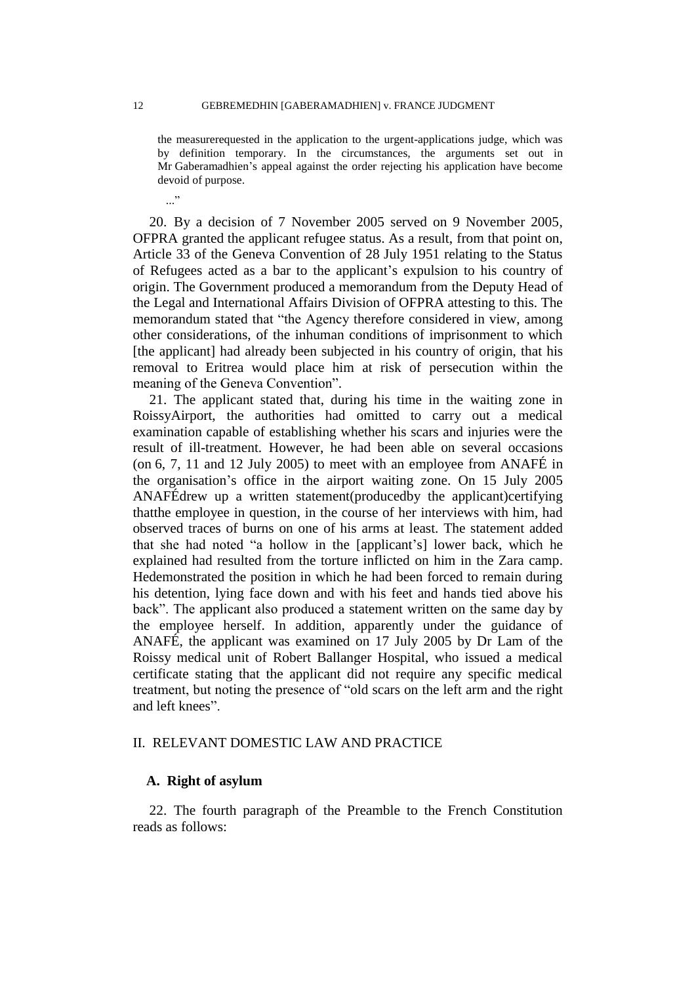the measurerequested in the application to the urgent-applications judge, which was by definition temporary. In the circumstances, the arguments set out in Mr Gaberamadhien"s appeal against the order rejecting his application have become devoid of purpose.

20. By a decision of 7 November 2005 served on 9 November 2005, OFPRA granted the applicant refugee status. As a result, from that point on, Article 33 of the Geneva Convention of 28 July 1951 relating to the Status of Refugees acted as a bar to the applicant"s expulsion to his country of origin. The Government produced a memorandum from the Deputy Head of the Legal and International Affairs Division of OFPRA attesting to this. The memorandum stated that "the Agency therefore considered in view, among other considerations, of the inhuman conditions of imprisonment to which [the applicant] had already been subjected in his country of origin, that his removal to Eritrea would place him at risk of persecution within the meaning of the Geneva Convention".

21. The applicant stated that, during his time in the waiting zone in RoissyAirport, the authorities had omitted to carry out a medical examination capable of establishing whether his scars and injuries were the result of ill-treatment. However, he had been able on several occasions (on 6, 7, 11 and 12 July 2005) to meet with an employee from ANAFÉ in the organisation"s office in the airport waiting zone. On 15 July 2005 ANAFÉdrew up a written statement(producedby the applicant)certifying thatthe employee in question, in the course of her interviews with him, had observed traces of burns on one of his arms at least. The statement added that she had noted "a hollow in the [applicant"s] lower back, which he explained had resulted from the torture inflicted on him in the Zara camp. Hedemonstrated the position in which he had been forced to remain during his detention, lying face down and with his feet and hands tied above his back". The applicant also produced a statement written on the same day by the employee herself. In addition, apparently under the guidance of ANAFÉ, the applicant was examined on 17 July 2005 by Dr Lam of the Roissy medical unit of Robert Ballanger Hospital, who issued a medical certificate stating that the applicant did not require any specific medical treatment, but noting the presence of "old scars on the left arm and the right and left knees".

# II. RELEVANT DOMESTIC LAW AND PRACTICE

# **A. Right of asylum**

22. The fourth paragraph of the Preamble to the French Constitution reads as follows:

 $\cdot$ ..."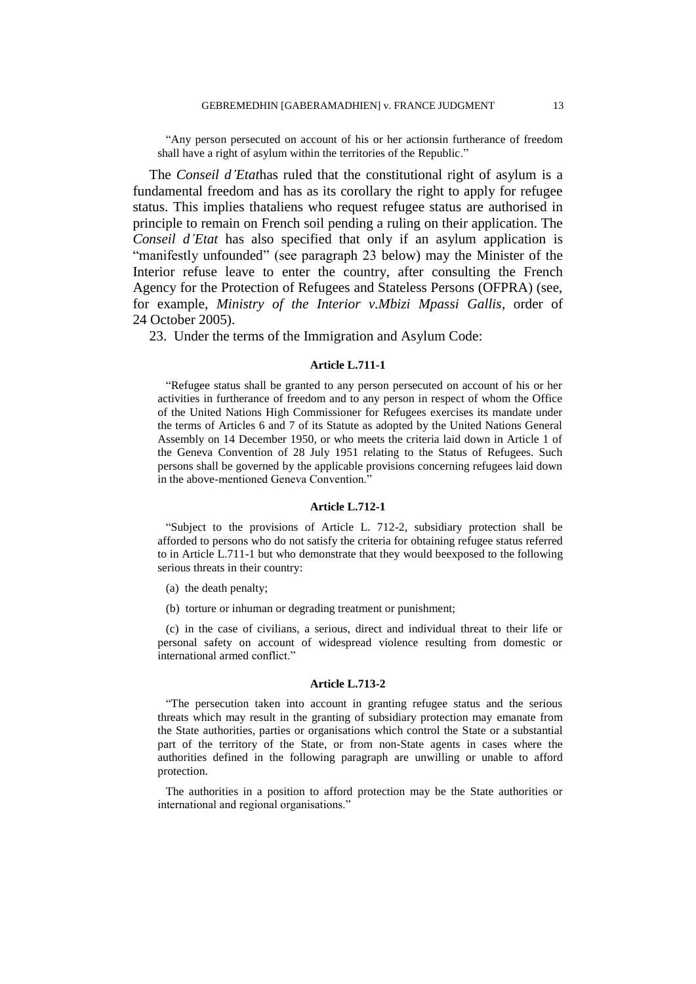"Any person persecuted on account of his or her actionsin furtherance of freedom shall have a right of asylum within the territories of the Republic."

The *Conseil d'Etat*has ruled that the constitutional right of asylum is a fundamental freedom and has as its corollary the right to apply for refugee status. This implies thataliens who request refugee status are authorised in principle to remain on French soil pending a ruling on their application. The *Conseil d'Etat* has also specified that only if an asylum application is "manifestly unfounded" (see paragraph 23 below) may the Minister of the Interior refuse leave to enter the country, after consulting the French Agency for the Protection of Refugees and Stateless Persons (OFPRA) (see, for example, *Ministry of the Interior v.Mbizi Mpassi Gallis*, order of 24 October 2005).

23. Under the terms of the Immigration and Asylum Code:

#### **Article L.711-1**

"Refugee status shall be granted to any person persecuted on account of his or her activities in furtherance of freedom and to any person in respect of whom the Office of the United Nations High Commissioner for Refugees exercises its mandate under the terms of Articles 6 and 7 of its Statute as adopted by the United Nations General Assembly on 14 December 1950, or who meets the criteria laid down in Article 1 of the Geneva Convention of 28 July 1951 relating to the Status of Refugees. Such persons shall be governed by the applicable provisions concerning refugees laid down in the above-mentioned Geneva Convention."

#### **Article L.712-1**

"Subject to the provisions of Article L. 712-2, subsidiary protection shall be afforded to persons who do not satisfy the criteria for obtaining refugee status referred to in Article L.711-1 but who demonstrate that they would beexposed to the following serious threats in their country:

- (a) the death penalty;
- (b) torture or inhuman or degrading treatment or punishment;

(c) in the case of civilians, a serious, direct and individual threat to their life or personal safety on account of widespread violence resulting from domestic or international armed conflict."

#### **Article L.713-2**

"The persecution taken into account in granting refugee status and the serious threats which may result in the granting of subsidiary protection may emanate from the State authorities, parties or organisations which control the State or a substantial part of the territory of the State, or from non-State agents in cases where the authorities defined in the following paragraph are unwilling or unable to afford protection.

The authorities in a position to afford protection may be the State authorities or international and regional organisations."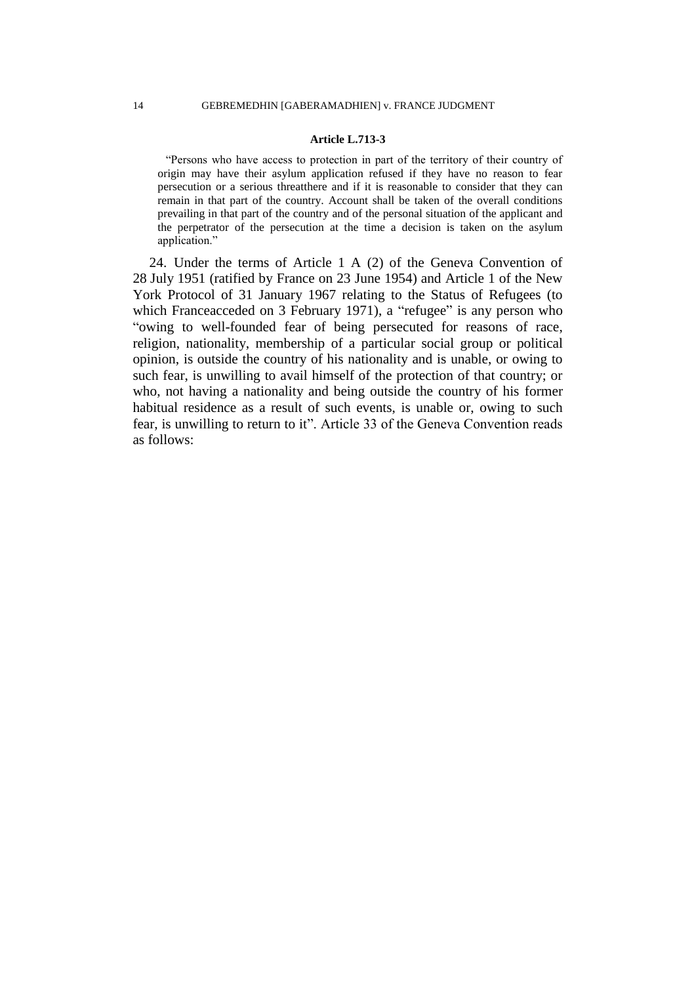#### **Article L.713-3**

"Persons who have access to protection in part of the territory of their country of origin may have their asylum application refused if they have no reason to fear persecution or a serious threatthere and if it is reasonable to consider that they can remain in that part of the country. Account shall be taken of the overall conditions prevailing in that part of the country and of the personal situation of the applicant and the perpetrator of the persecution at the time a decision is taken on the asylum application."

24. Under the terms of Article 1 A (2) of the Geneva Convention of 28 July 1951 (ratified by France on 23 June 1954) and Article 1 of the New York Protocol of 31 January 1967 relating to the Status of Refugees (to which Franceacceded on 3 February 1971), a "refugee" is any person who "owing to well-founded fear of being persecuted for reasons of race, religion, nationality, membership of a particular social group or political opinion, is outside the country of his nationality and is unable, or owing to such fear, is unwilling to avail himself of the protection of that country; or who, not having a nationality and being outside the country of his former habitual residence as a result of such events, is unable or, owing to such fear, is unwilling to return to it". Article 33 of the Geneva Convention reads as follows: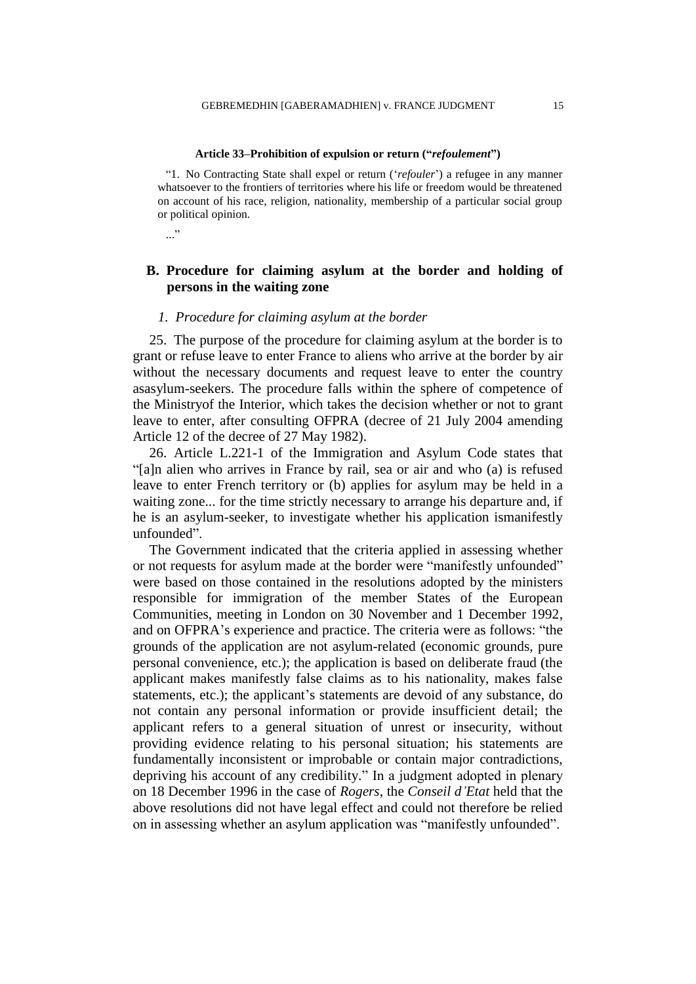#### **Article 33–Prohibition of expulsion or return ("***refoulement***")**

"1. No Contracting State shall expel or return ("*refouler*") a refugee in any manner whatsoever to the frontiers of territories where his life or freedom would be threatened on account of his race, religion, nationality, membership of a particular social group or political opinion.

..."

# **B. Procedure for claiming asylum at the border and holding of persons in the waiting zone**

# *1. Procedure for claiming asylum at the border*

25. The purpose of the procedure for claiming asylum at the border is to grant or refuse leave to enter France to aliens who arrive at the border by air without the necessary documents and request leave to enter the country asasylum-seekers. The procedure falls within the sphere of competence of the Ministryof the Interior, which takes the decision whether or not to grant leave to enter, after consulting OFPRA (decree of 21 July 2004 amending Article 12 of the decree of 27 May 1982).

26. Article L.221-1 of the Immigration and Asylum Code states that "[a]n alien who arrives in France by rail, sea or air and who (a) is refused leave to enter French territory or (b) applies for asylum may be held in a waiting zone... for the time strictly necessary to arrange his departure and, if he is an asylum-seeker, to investigate whether his application ismanifestly unfounded".

The Government indicated that the criteria applied in assessing whether or not requests for asylum made at the border were "manifestly unfounded" were based on those contained in the resolutions adopted by the ministers responsible for immigration of the member States of the European Communities, meeting in London on 30 November and 1 December 1992, and on OFPRA"s experience and practice. The criteria were as follows: "the grounds of the application are not asylum-related (economic grounds, pure personal convenience, etc.); the application is based on deliberate fraud (the applicant makes manifestly false claims as to his nationality, makes false statements, etc.); the applicant's statements are devoid of any substance, do not contain any personal information or provide insufficient detail; the applicant refers to a general situation of unrest or insecurity, without providing evidence relating to his personal situation; his statements are fundamentally inconsistent or improbable or contain major contradictions, depriving his account of any credibility." In a judgment adopted in plenary on 18 December 1996 in the case of *Rogers*, the *Conseil d'Etat* held that the above resolutions did not have legal effect and could not therefore be relied on in assessing whether an asylum application was "manifestly unfounded".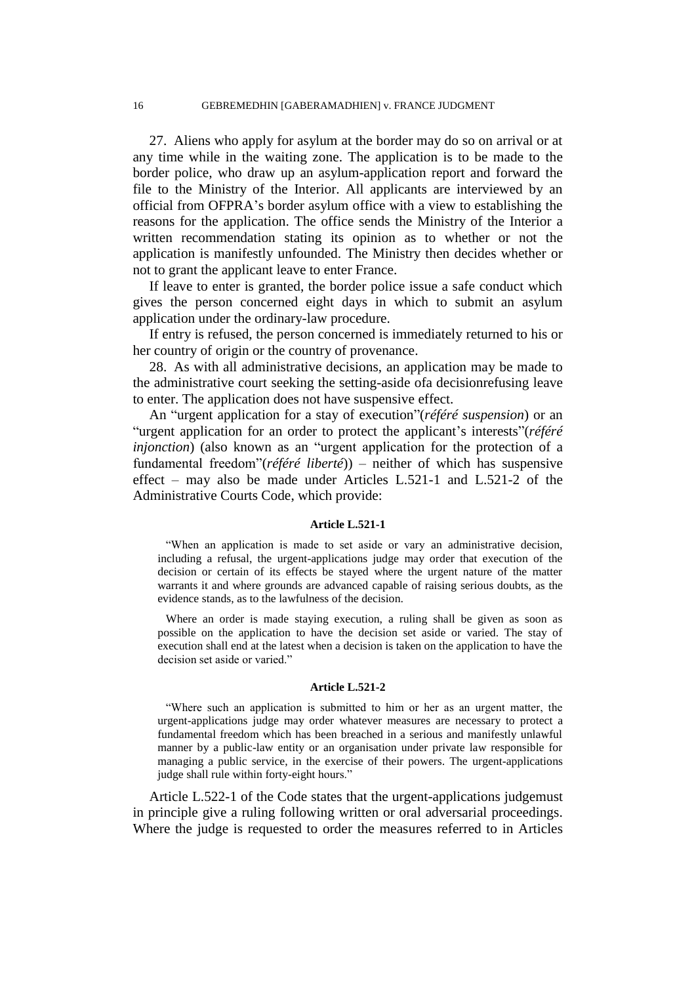27. Aliens who apply for asylum at the border may do so on arrival or at any time while in the waiting zone. The application is to be made to the border police, who draw up an asylum-application report and forward the file to the Ministry of the Interior. All applicants are interviewed by an official from OFPRA"s border asylum office with a view to establishing the reasons for the application. The office sends the Ministry of the Interior a written recommendation stating its opinion as to whether or not the application is manifestly unfounded. The Ministry then decides whether or not to grant the applicant leave to enter France.

If leave to enter is granted, the border police issue a safe conduct which gives the person concerned eight days in which to submit an asylum application under the ordinary-law procedure.

If entry is refused, the person concerned is immediately returned to his or her country of origin or the country of provenance.

28. As with all administrative decisions, an application may be made to the administrative court seeking the setting-aside ofa decisionrefusing leave to enter. The application does not have suspensive effect.

An "urgent application for a stay of execution"(*référé suspension*) or an "urgent application for an order to protect the applicant"s interests"(*référé injonction*) (also known as an "urgent application for the protection of a fundamental freedom"(*référé liberté*)) – neither of which has suspensive effect – may also be made under Articles L.521-1 and L.521-2 of the Administrative Courts Code, which provide:

#### **Article L.521-1**

"When an application is made to set aside or vary an administrative decision, including a refusal, the urgent-applications judge may order that execution of the decision or certain of its effects be stayed where the urgent nature of the matter warrants it and where grounds are advanced capable of raising serious doubts, as the evidence stands, as to the lawfulness of the decision.

Where an order is made staying execution, a ruling shall be given as soon as possible on the application to have the decision set aside or varied. The stay of execution shall end at the latest when a decision is taken on the application to have the decision set aside or varied."

#### **Article L.521-2**

"Where such an application is submitted to him or her as an urgent matter, the urgent-applications judge may order whatever measures are necessary to protect a fundamental freedom which has been breached in a serious and manifestly unlawful manner by a public-law entity or an organisation under private law responsible for managing a public service, in the exercise of their powers. The urgent-applications judge shall rule within forty-eight hours."

Article L.522-1 of the Code states that the urgent-applications judgemust in principle give a ruling following written or oral adversarial proceedings. Where the judge is requested to order the measures referred to in Articles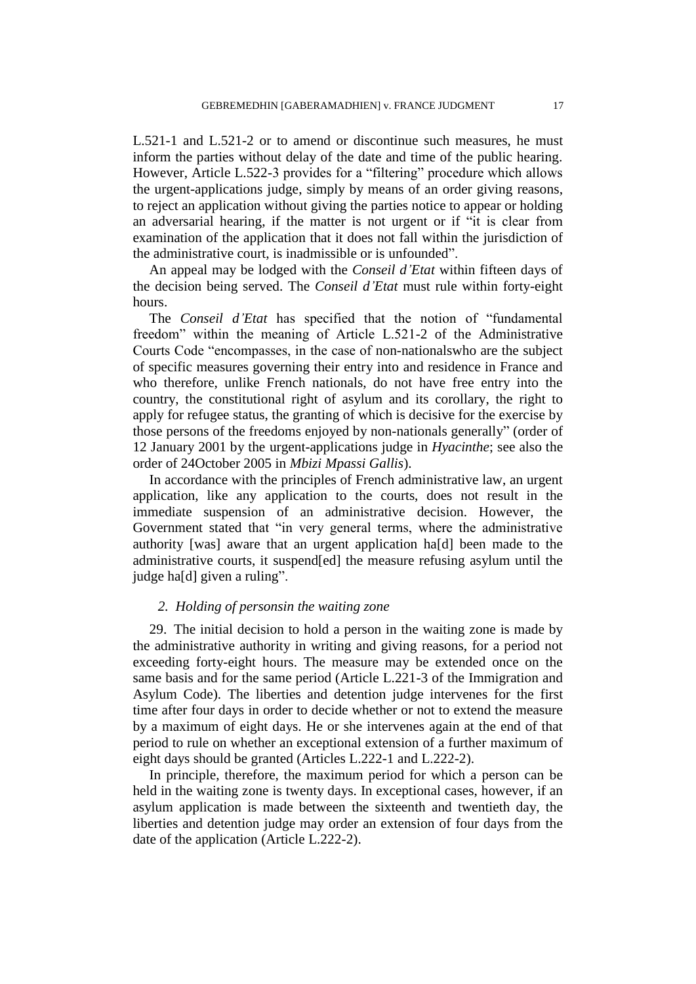L.521-1 and L.521-2 or to amend or discontinue such measures, he must inform the parties without delay of the date and time of the public hearing. However, Article L.522-3 provides for a "filtering" procedure which allows the urgent-applications judge, simply by means of an order giving reasons, to reject an application without giving the parties notice to appear or holding an adversarial hearing, if the matter is not urgent or if "it is clear from examination of the application that it does not fall within the jurisdiction of the administrative court, is inadmissible or is unfounded".

An appeal may be lodged with the *Conseil d'Etat* within fifteen days of the decision being served. The *Conseil d'Etat* must rule within forty-eight hours.

The *Conseil d'Etat* has specified that the notion of "fundamental freedom" within the meaning of Article L.521-2 of the Administrative Courts Code "encompasses, in the case of non-nationalswho are the subject of specific measures governing their entry into and residence in France and who therefore, unlike French nationals, do not have free entry into the country, the constitutional right of asylum and its corollary, the right to apply for refugee status, the granting of which is decisive for the exercise by those persons of the freedoms enjoyed by non-nationals generally" (order of 12 January 2001 by the urgent-applications judge in *Hyacinthe*; see also the order of 24October 2005 in *Mbizi Mpassi Gallis*).

In accordance with the principles of French administrative law, an urgent application, like any application to the courts, does not result in the immediate suspension of an administrative decision. However, the Government stated that "in very general terms, where the administrative authority [was] aware that an urgent application ha[d] been made to the administrative courts, it suspend[ed] the measure refusing asylum until the judge ha[d] given a ruling".

# *2. Holding of personsin the waiting zone*

29. The initial decision to hold a person in the waiting zone is made by the administrative authority in writing and giving reasons, for a period not exceeding forty-eight hours. The measure may be extended once on the same basis and for the same period (Article L.221-3 of the Immigration and Asylum Code). The liberties and detention judge intervenes for the first time after four days in order to decide whether or not to extend the measure by a maximum of eight days. He or she intervenes again at the end of that period to rule on whether an exceptional extension of a further maximum of eight days should be granted (Articles L.222-1 and L.222-2).

In principle, therefore, the maximum period for which a person can be held in the waiting zone is twenty days. In exceptional cases, however, if an asylum application is made between the sixteenth and twentieth day, the liberties and detention judge may order an extension of four days from the date of the application (Article L.222-2).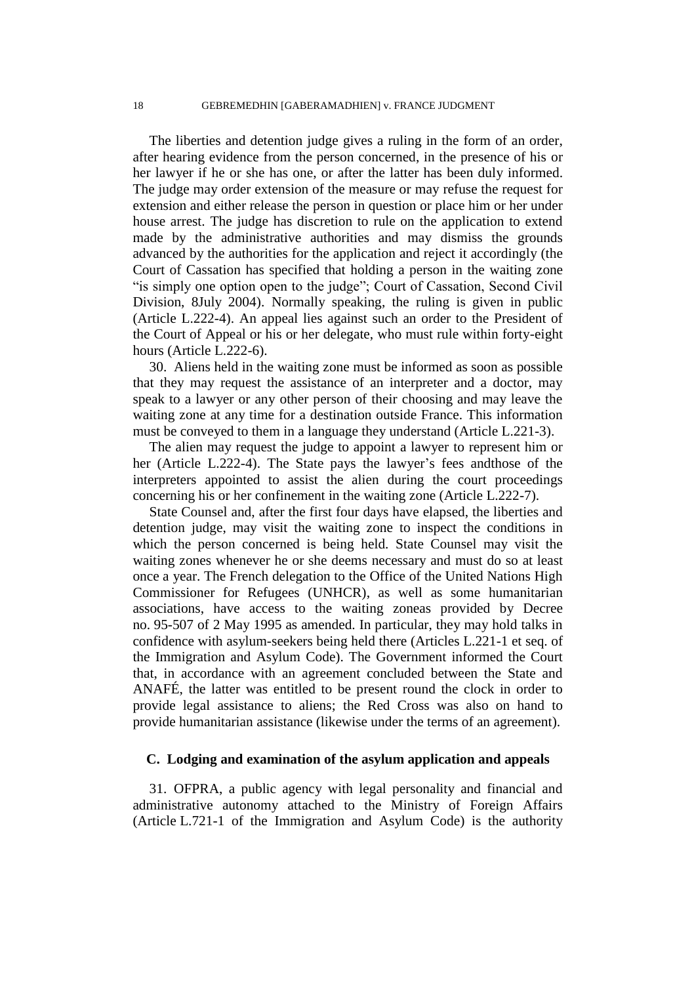The liberties and detention judge gives a ruling in the form of an order, after hearing evidence from the person concerned, in the presence of his or her lawyer if he or she has one, or after the latter has been duly informed. The judge may order extension of the measure or may refuse the request for extension and either release the person in question or place him or her under house arrest. The judge has discretion to rule on the application to extend made by the administrative authorities and may dismiss the grounds advanced by the authorities for the application and reject it accordingly (the Court of Cassation has specified that holding a person in the waiting zone "is simply one option open to the judge"; Court of Cassation, Second Civil Division, 8July 2004). Normally speaking, the ruling is given in public (Article L.222-4). An appeal lies against such an order to the President of the Court of Appeal or his or her delegate, who must rule within forty-eight hours (Article L.222-6).

30. Aliens held in the waiting zone must be informed as soon as possible that they may request the assistance of an interpreter and a doctor, may speak to a lawyer or any other person of their choosing and may leave the waiting zone at any time for a destination outside France. This information must be conveyed to them in a language they understand (Article L.221-3).

The alien may request the judge to appoint a lawyer to represent him or her (Article L.222-4). The State pays the lawyer's fees and those of the interpreters appointed to assist the alien during the court proceedings concerning his or her confinement in the waiting zone (Article L.222-7).

State Counsel and, after the first four days have elapsed, the liberties and detention judge, may visit the waiting zone to inspect the conditions in which the person concerned is being held. State Counsel may visit the waiting zones whenever he or she deems necessary and must do so at least once a year. The French delegation to the Office of the United Nations High Commissioner for Refugees (UNHCR), as well as some humanitarian associations, have access to the waiting zoneas provided by Decree no. 95-507 of 2 May 1995 as amended. In particular, they may hold talks in confidence with asylum-seekers being held there (Articles L.221-1 et seq. of the Immigration and Asylum Code). The Government informed the Court that, in accordance with an agreement concluded between the State and ANAFÉ, the latter was entitled to be present round the clock in order to provide legal assistance to aliens; the Red Cross was also on hand to provide humanitarian assistance (likewise under the terms of an agreement).

# **C. Lodging and examination of the asylum application and appeals**

31. OFPRA, a public agency with legal personality and financial and administrative autonomy attached to the Ministry of Foreign Affairs (Article L.721-1 of the Immigration and Asylum Code) is the authority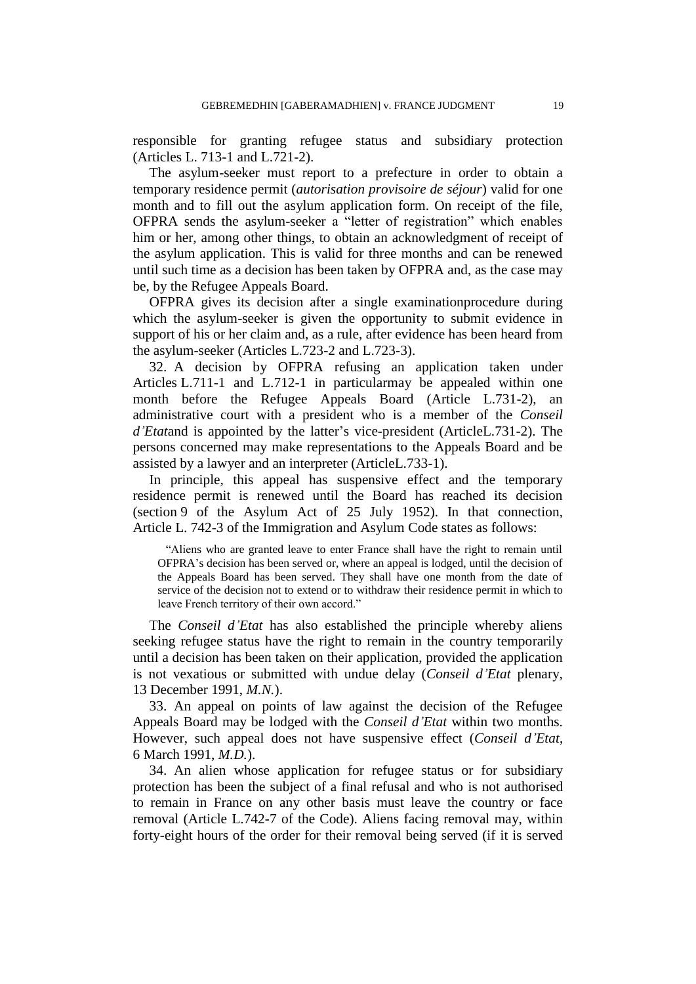responsible for granting refugee status and subsidiary protection (Articles L. 713-1 and L.721-2).

The asylum-seeker must report to a prefecture in order to obtain a temporary residence permit (*autorisation provisoire de séjour*) valid for one month and to fill out the asylum application form. On receipt of the file, OFPRA sends the asylum-seeker a "letter of registration" which enables him or her, among other things, to obtain an acknowledgment of receipt of the asylum application. This is valid for three months and can be renewed until such time as a decision has been taken by OFPRA and, as the case may be, by the Refugee Appeals Board.

OFPRA gives its decision after a single examinationprocedure during which the asylum-seeker is given the opportunity to submit evidence in support of his or her claim and, as a rule, after evidence has been heard from the asylum-seeker (Articles L.723-2 and L.723-3).

32. A decision by OFPRA refusing an application taken under Articles L.711-1 and L.712-1 in particularmay be appealed within one month before the Refugee Appeals Board (Article L.731-2), an administrative court with a president who is a member of the *Conseil d'Etat*and is appointed by the latter"s vice-president (ArticleL.731-2). The persons concerned may make representations to the Appeals Board and be assisted by a lawyer and an interpreter (ArticleL.733-1).

In principle, this appeal has suspensive effect and the temporary residence permit is renewed until the Board has reached its decision (section 9 of the Asylum Act of 25 July 1952). In that connection, Article L. 742-3 of the Immigration and Asylum Code states as follows:

"Aliens who are granted leave to enter France shall have the right to remain until OFPRA"s decision has been served or, where an appeal is lodged, until the decision of the Appeals Board has been served. They shall have one month from the date of service of the decision not to extend or to withdraw their residence permit in which to leave French territory of their own accord."

The *Conseil d'Etat* has also established the principle whereby aliens seeking refugee status have the right to remain in the country temporarily until a decision has been taken on their application, provided the application is not vexatious or submitted with undue delay (*Conseil d'Etat* plenary, 13 December 1991, *M.N.*).

33. An appeal on points of law against the decision of the Refugee Appeals Board may be lodged with the *Conseil d'Etat* within two months. However, such appeal does not have suspensive effect (*Conseil d'Etat*, 6 March 1991, *M.D.*).

34. An alien whose application for refugee status or for subsidiary protection has been the subject of a final refusal and who is not authorised to remain in France on any other basis must leave the country or face removal (Article L.742-7 of the Code). Aliens facing removal may, within forty-eight hours of the order for their removal being served (if it is served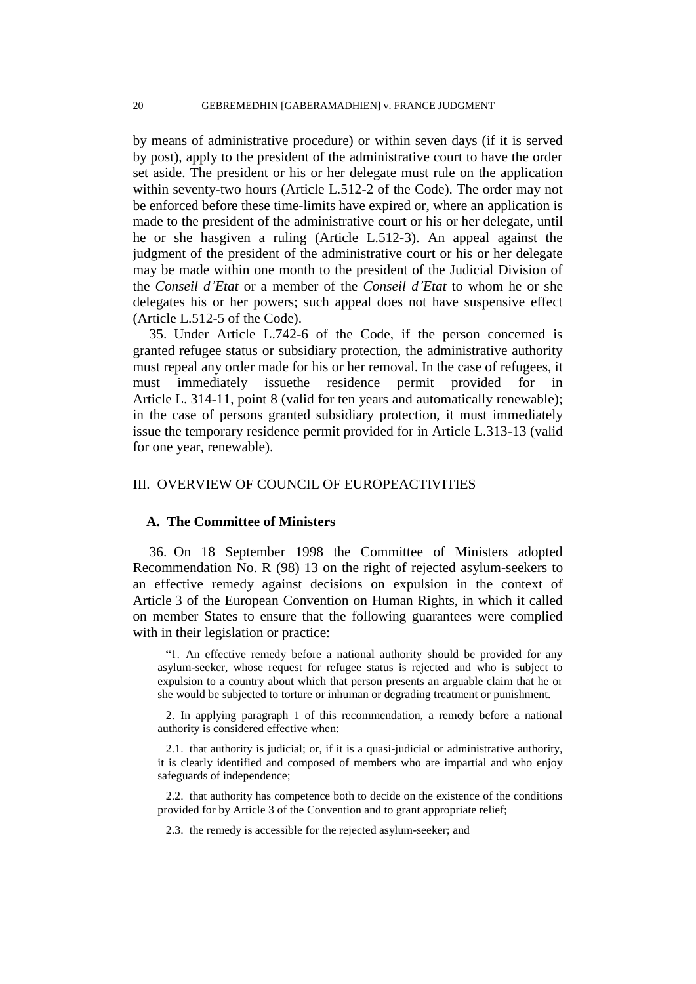by means of administrative procedure) or within seven days (if it is served by post), apply to the president of the administrative court to have the order set aside. The president or his or her delegate must rule on the application within seventy-two hours (Article L.512-2 of the Code). The order may not be enforced before these time-limits have expired or, where an application is made to the president of the administrative court or his or her delegate, until he or she hasgiven a ruling (Article L.512-3). An appeal against the judgment of the president of the administrative court or his or her delegate may be made within one month to the president of the Judicial Division of the *Conseil d'Etat* or a member of the *Conseil d'Etat* to whom he or she delegates his or her powers; such appeal does not have suspensive effect (Article L.512-5 of the Code).

35. Under Article L.742-6 of the Code, if the person concerned is granted refugee status or subsidiary protection, the administrative authority must repeal any order made for his or her removal. In the case of refugees, it must immediately issuethe residence permit provided for in Article L. 314-11, point 8 (valid for ten years and automatically renewable); in the case of persons granted subsidiary protection, it must immediately issue the temporary residence permit provided for in Article L.313-13 (valid for one year, renewable).

# III. OVERVIEW OF COUNCIL OF EUROPEACTIVITIES

## **A. The Committee of Ministers**

36. On 18 September 1998 the Committee of Ministers adopted Recommendation No. R (98) 13 on the right of rejected asylum-seekers to an effective remedy against decisions on expulsion in the context of Article 3 of the European Convention on Human Rights, in which it called on member States to ensure that the following guarantees were complied with in their legislation or practice:

"1. An effective remedy before a national authority should be provided for any asylum-seeker, whose request for refugee status is rejected and who is subject to expulsion to a country about which that person presents an arguable claim that he or she would be subjected to torture or inhuman or degrading treatment or punishment.

2. In applying paragraph 1 of this recommendation, a remedy before a national authority is considered effective when:

2.1. that authority is judicial; or, if it is a quasi-judicial or administrative authority, it is clearly identified and composed of members who are impartial and who enjoy safeguards of independence;

2.2. that authority has competence both to decide on the existence of the conditions provided for by Article 3 of the Convention and to grant appropriate relief;

2.3. the remedy is accessible for the rejected asylum-seeker; and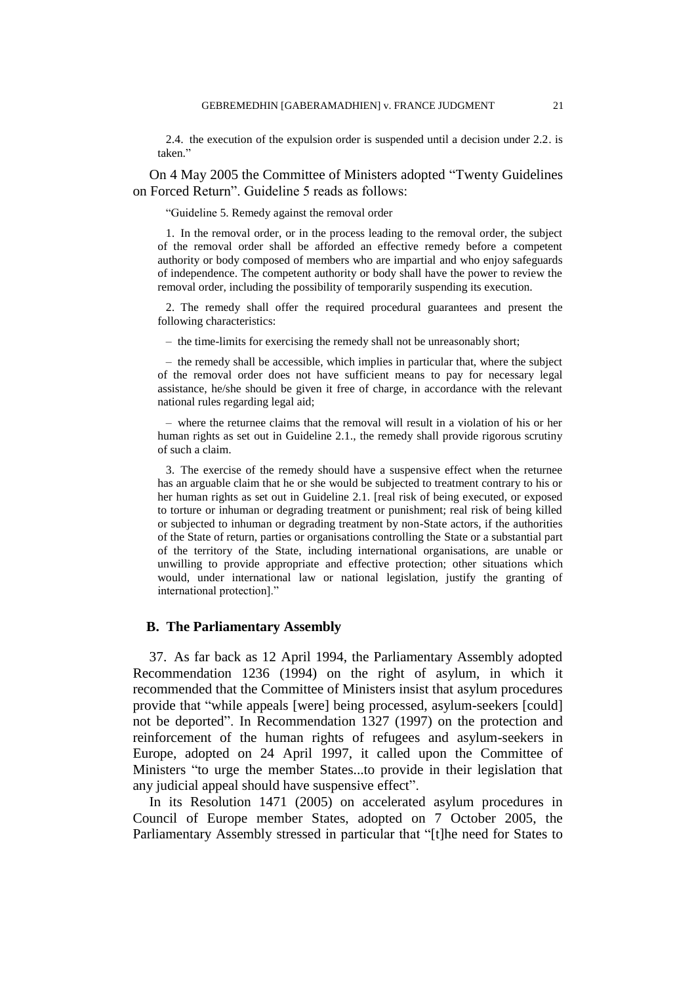2.4. the execution of the expulsion order is suspended until a decision under 2.2. is taken."

On 4 May 2005 the Committee of Ministers adopted "Twenty Guidelines on Forced Return". Guideline 5 reads as follows:

"Guideline 5. Remedy against the removal order

1. In the removal order, or in the process leading to the removal order, the subject of the removal order shall be afforded an effective remedy before a competent authority or body composed of members who are impartial and who enjoy safeguards of independence. The competent authority or body shall have the power to review the removal order, including the possibility of temporarily suspending its execution.

2. The remedy shall offer the required procedural guarantees and present the following characteristics:

– the time-limits for exercising the remedy shall not be unreasonably short;

– the remedy shall be accessible, which implies in particular that, where the subject of the removal order does not have sufficient means to pay for necessary legal assistance, he/she should be given it free of charge, in accordance with the relevant national rules regarding legal aid;

– where the returnee claims that the removal will result in a violation of his or her human rights as set out in Guideline 2.1., the remedy shall provide rigorous scrutiny of such a claim.

3. The exercise of the remedy should have a suspensive effect when the returnee has an arguable claim that he or she would be subjected to treatment contrary to his or her human rights as set out in Guideline 2.1. [real risk of being executed, or exposed to torture or inhuman or degrading treatment or punishment; real risk of being killed or subjected to inhuman or degrading treatment by non-State actors, if the authorities of the State of return, parties or organisations controlling the State or a substantial part of the territory of the State, including international organisations, are unable or unwilling to provide appropriate and effective protection; other situations which would, under international law or national legislation, justify the granting of international protection]."

### **B. The Parliamentary Assembly**

37. As far back as 12 April 1994, the Parliamentary Assembly adopted Recommendation 1236 (1994) on the right of asylum, in which it recommended that the Committee of Ministers insist that asylum procedures provide that "while appeals [were] being processed, asylum-seekers [could] not be deported". In Recommendation 1327 (1997) on the protection and reinforcement of the human rights of refugees and asylum-seekers in Europe, adopted on 24 April 1997, it called upon the Committee of Ministers "to urge the member States...to provide in their legislation that any judicial appeal should have suspensive effect".

In its Resolution 1471 (2005) on accelerated asylum procedures in Council of Europe member States, adopted on 7 October 2005, the Parliamentary Assembly stressed in particular that "[t]he need for States to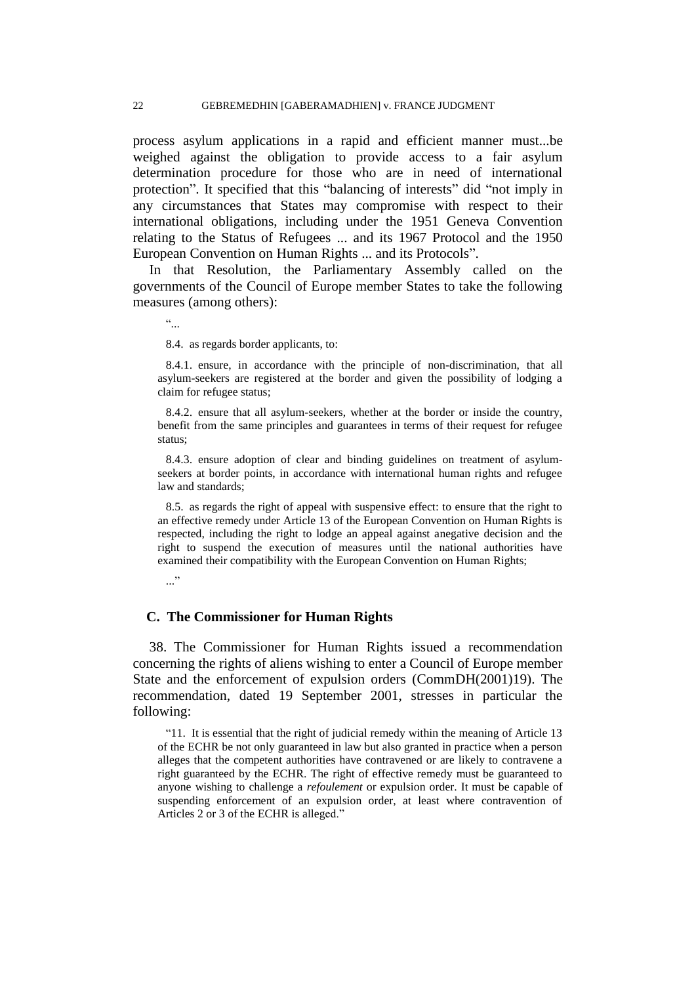process asylum applications in a rapid and efficient manner must...be weighed against the obligation to provide access to a fair asylum determination procedure for those who are in need of international protection". It specified that this "balancing of interests" did "not imply in any circumstances that States may compromise with respect to their international obligations, including under the 1951 Geneva Convention relating to the Status of Refugees ... and its 1967 Protocol and the 1950 European Convention on Human Rights ... and its Protocols".

In that Resolution, the Parliamentary Assembly called on the governments of the Council of Europe member States to take the following measures (among others):

 $\epsilon\epsilon$ 

8.4. as regards border applicants, to:

8.4.1. ensure, in accordance with the principle of non-discrimination, that all asylum-seekers are registered at the border and given the possibility of lodging a claim for refugee status;

8.4.2. ensure that all asylum-seekers, whether at the border or inside the country, benefit from the same principles and guarantees in terms of their request for refugee status;

8.4.3. ensure adoption of clear and binding guidelines on treatment of asylumseekers at border points, in accordance with international human rights and refugee law and standards;

8.5. as regards the right of appeal with suspensive effect: to ensure that the right to an effective remedy under Article 13 of the European Convention on Human Rights is respected, including the right to lodge an appeal against anegative decision and the right to suspend the execution of measures until the national authorities have examined their compatibility with the European Convention on Human Rights;

..."

# **C. The Commissioner for Human Rights**

38. The Commissioner for Human Rights issued a recommendation concerning the rights of aliens wishing to enter a Council of Europe member State and the enforcement of expulsion orders (CommDH(2001)19). The recommendation, dated 19 September 2001, stresses in particular the following:

"11. It is essential that the right of judicial remedy within the meaning of Article 13 of the ECHR be not only guaranteed in law but also granted in practice when a person alleges that the competent authorities have contravened or are likely to contravene a right guaranteed by the ECHR. The right of effective remedy must be guaranteed to anyone wishing to challenge a *refoulement* or expulsion order. It must be capable of suspending enforcement of an expulsion order, at least where contravention of Articles 2 or 3 of the ECHR is alleged."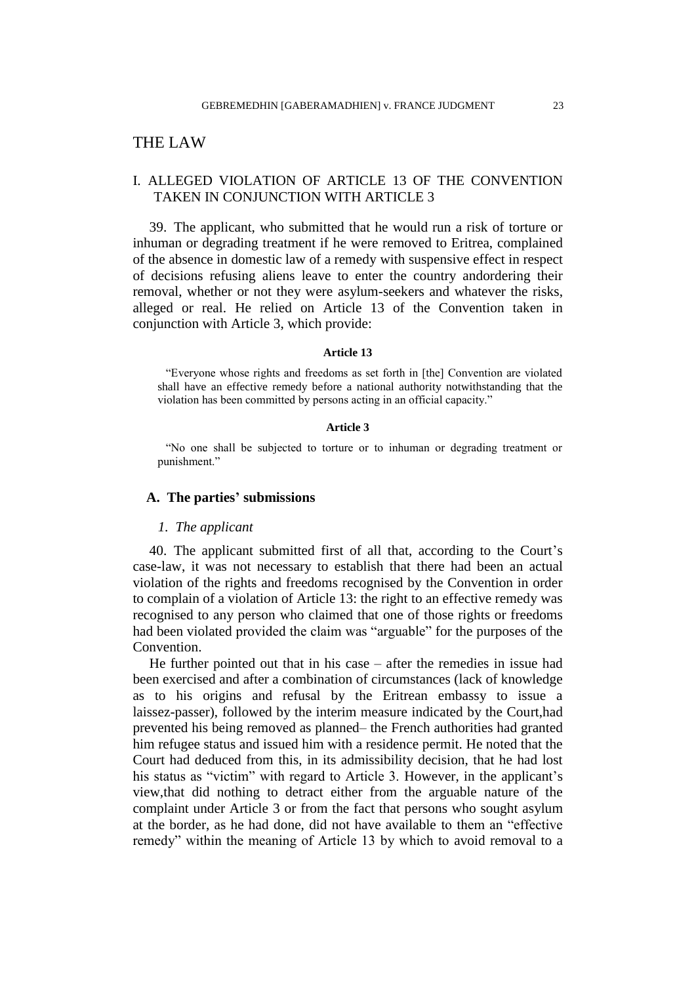# THE LAW

# I. ALLEGED VIOLATION OF ARTICLE 13 OF THE CONVENTION TAKEN IN CONJUNCTION WITH ARTICLE 3

39. The applicant, who submitted that he would run a risk of torture or inhuman or degrading treatment if he were removed to Eritrea, complained of the absence in domestic law of a remedy with suspensive effect in respect of decisions refusing aliens leave to enter the country andordering their removal, whether or not they were asylum-seekers and whatever the risks, alleged or real. He relied on Article 13 of the Convention taken in conjunction with Article 3, which provide:

#### **Article 13**

"Everyone whose rights and freedoms as set forth in [the] Convention are violated shall have an effective remedy before a national authority notwithstanding that the violation has been committed by persons acting in an official capacity."

### **Article 3**

"No one shall be subjected to torture or to inhuman or degrading treatment or punishment."

# **A. The parties' submissions**

#### *1. The applicant*

40. The applicant submitted first of all that, according to the Court"s case-law, it was not necessary to establish that there had been an actual violation of the rights and freedoms recognised by the Convention in order to complain of a violation of Article 13: the right to an effective remedy was recognised to any person who claimed that one of those rights or freedoms had been violated provided the claim was "arguable" for the purposes of the Convention.

He further pointed out that in his case – after the remedies in issue had been exercised and after a combination of circumstances (lack of knowledge as to his origins and refusal by the Eritrean embassy to issue a laissez-passer), followed by the interim measure indicated by the Court,had prevented his being removed as planned– the French authorities had granted him refugee status and issued him with a residence permit. He noted that the Court had deduced from this, in its admissibility decision, that he had lost his status as "victim" with regard to Article 3. However, in the applicant's view,that did nothing to detract either from the arguable nature of the complaint under Article 3 or from the fact that persons who sought asylum at the border, as he had done, did not have available to them an "effective remedy" within the meaning of Article 13 by which to avoid removal to a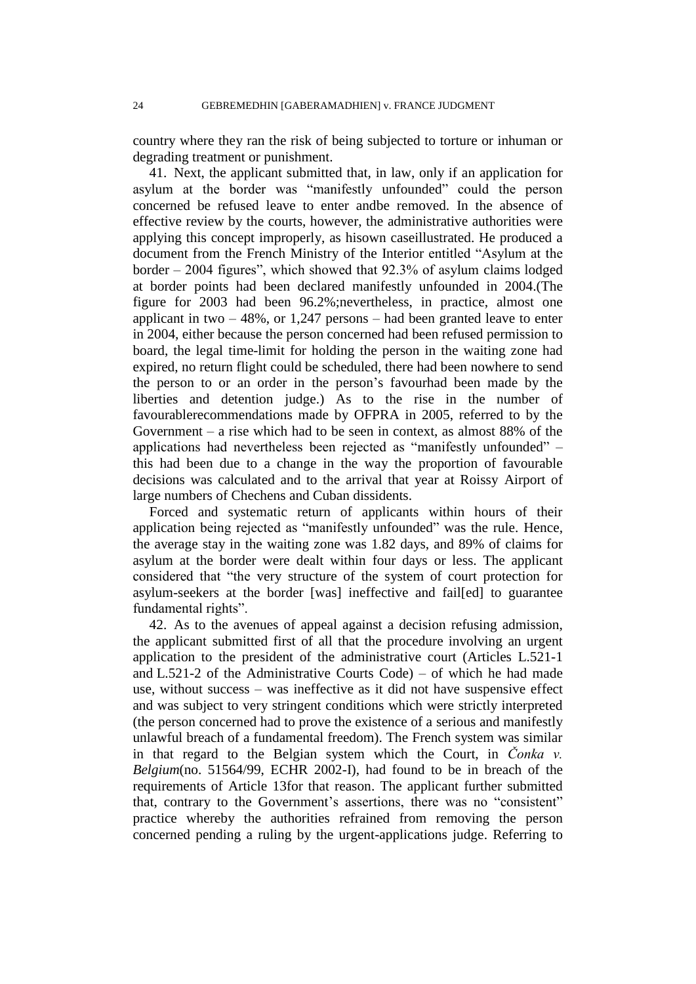country where they ran the risk of being subjected to torture or inhuman or degrading treatment or punishment.

41. Next, the applicant submitted that, in law, only if an application for asylum at the border was "manifestly unfounded" could the person concerned be refused leave to enter andbe removed. In the absence of effective review by the courts, however, the administrative authorities were applying this concept improperly, as hisown caseillustrated. He produced a document from the French Ministry of the Interior entitled "Asylum at the border – 2004 figures", which showed that 92.3% of asylum claims lodged at border points had been declared manifestly unfounded in 2004.(The figure for 2003 had been 96.2%;nevertheless, in practice, almost one applicant in two  $-48\%$ , or 1,247 persons – had been granted leave to enter in 2004, either because the person concerned had been refused permission to board, the legal time-limit for holding the person in the waiting zone had expired, no return flight could be scheduled, there had been nowhere to send the person to or an order in the person"s favourhad been made by the liberties and detention judge.) As to the rise in the number of favourablerecommendations made by OFPRA in 2005, referred to by the Government – a rise which had to be seen in context, as almost 88% of the applications had nevertheless been rejected as "manifestly unfounded" – this had been due to a change in the way the proportion of favourable decisions was calculated and to the arrival that year at Roissy Airport of large numbers of Chechens and Cuban dissidents.

Forced and systematic return of applicants within hours of their application being rejected as "manifestly unfounded" was the rule. Hence, the average stay in the waiting zone was 1.82 days, and 89% of claims for asylum at the border were dealt within four days or less. The applicant considered that "the very structure of the system of court protection for asylum-seekers at the border [was] ineffective and fail[ed] to guarantee fundamental rights".

42. As to the avenues of appeal against a decision refusing admission, the applicant submitted first of all that the procedure involving an urgent application to the president of the administrative court (Articles L.521-1 and L.521-2 of the Administrative Courts Code) – of which he had made use, without success – was ineffective as it did not have suspensive effect and was subject to very stringent conditions which were strictly interpreted (the person concerned had to prove the existence of a serious and manifestly unlawful breach of a fundamental freedom). The French system was similar in that regard to the Belgian system which the Court, in *Čonka v. Belgium*(no. 51564/99, ECHR 2002-I), had found to be in breach of the requirements of Article 13for that reason. The applicant further submitted that, contrary to the Government's assertions, there was no "consistent" practice whereby the authorities refrained from removing the person concerned pending a ruling by the urgent-applications judge. Referring to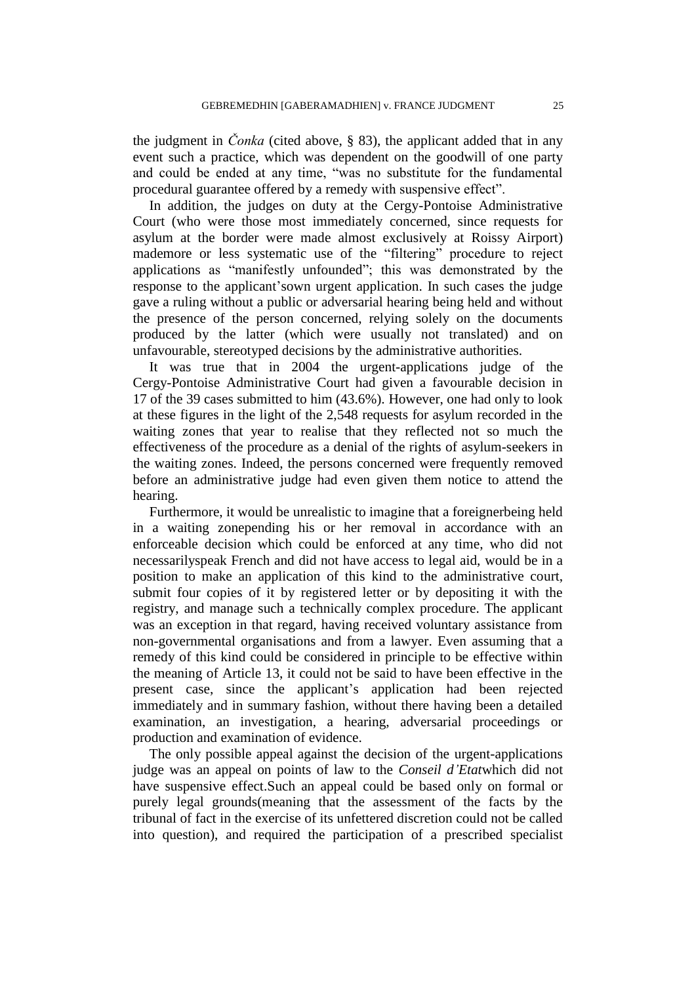the judgment in *Čonka* (cited above, § 83), the applicant added that in any event such a practice, which was dependent on the goodwill of one party and could be ended at any time, "was no substitute for the fundamental procedural guarantee offered by a remedy with suspensive effect".

In addition, the judges on duty at the Cergy-Pontoise Administrative Court (who were those most immediately concerned, since requests for asylum at the border were made almost exclusively at Roissy Airport) mademore or less systematic use of the "filtering" procedure to reject applications as "manifestly unfounded"; this was demonstrated by the response to the applicant"sown urgent application. In such cases the judge gave a ruling without a public or adversarial hearing being held and without the presence of the person concerned, relying solely on the documents produced by the latter (which were usually not translated) and on unfavourable, stereotyped decisions by the administrative authorities.

It was true that in 2004 the urgent-applications judge of the Cergy-Pontoise Administrative Court had given a favourable decision in 17 of the 39 cases submitted to him (43.6%). However, one had only to look at these figures in the light of the 2,548 requests for asylum recorded in the waiting zones that year to realise that they reflected not so much the effectiveness of the procedure as a denial of the rights of asylum-seekers in the waiting zones. Indeed, the persons concerned were frequently removed before an administrative judge had even given them notice to attend the hearing.

Furthermore, it would be unrealistic to imagine that a foreignerbeing held in a waiting zonepending his or her removal in accordance with an enforceable decision which could be enforced at any time, who did not necessarilyspeak French and did not have access to legal aid, would be in a position to make an application of this kind to the administrative court, submit four copies of it by registered letter or by depositing it with the registry, and manage such a technically complex procedure. The applicant was an exception in that regard, having received voluntary assistance from non-governmental organisations and from a lawyer. Even assuming that a remedy of this kind could be considered in principle to be effective within the meaning of Article 13, it could not be said to have been effective in the present case, since the applicant"s application had been rejected immediately and in summary fashion, without there having been a detailed examination, an investigation, a hearing, adversarial proceedings or production and examination of evidence.

The only possible appeal against the decision of the urgent-applications judge was an appeal on points of law to the *Conseil d'Etat*which did not have suspensive effect.Such an appeal could be based only on formal or purely legal grounds(meaning that the assessment of the facts by the tribunal of fact in the exercise of its unfettered discretion could not be called into question), and required the participation of a prescribed specialist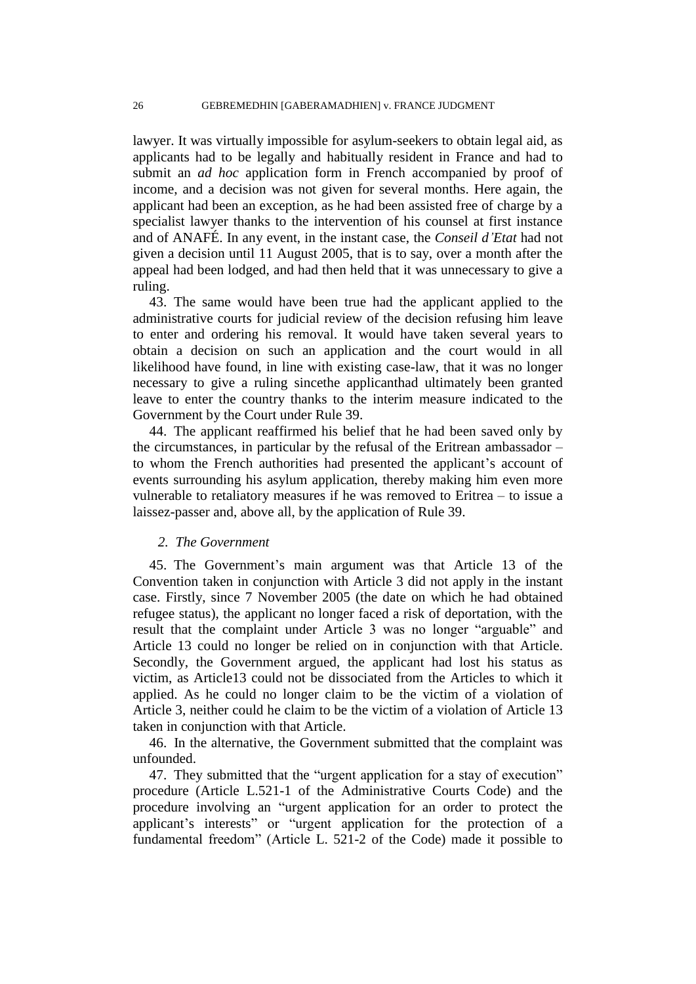lawyer. It was virtually impossible for asylum-seekers to obtain legal aid, as applicants had to be legally and habitually resident in France and had to submit an *ad hoc* application form in French accompanied by proof of income, and a decision was not given for several months. Here again, the applicant had been an exception, as he had been assisted free of charge by a specialist lawyer thanks to the intervention of his counsel at first instance and of ANAFÉ. In any event, in the instant case, the *Conseil d'Etat* had not given a decision until 11 August 2005, that is to say, over a month after the appeal had been lodged, and had then held that it was unnecessary to give a ruling.

43. The same would have been true had the applicant applied to the administrative courts for judicial review of the decision refusing him leave to enter and ordering his removal. It would have taken several years to obtain a decision on such an application and the court would in all likelihood have found, in line with existing case-law, that it was no longer necessary to give a ruling sincethe applicanthad ultimately been granted leave to enter the country thanks to the interim measure indicated to the Government by the Court under Rule 39.

44. The applicant reaffirmed his belief that he had been saved only by the circumstances, in particular by the refusal of the Eritrean ambassador – to whom the French authorities had presented the applicant's account of events surrounding his asylum application, thereby making him even more vulnerable to retaliatory measures if he was removed to Eritrea – to issue a laissez-passer and, above all, by the application of Rule 39.

# *2. The Government*

45. The Government"s main argument was that Article 13 of the Convention taken in conjunction with Article 3 did not apply in the instant case. Firstly, since 7 November 2005 (the date on which he had obtained refugee status), the applicant no longer faced a risk of deportation, with the result that the complaint under Article 3 was no longer "arguable" and Article 13 could no longer be relied on in conjunction with that Article. Secondly, the Government argued, the applicant had lost his status as victim, as Article13 could not be dissociated from the Articles to which it applied. As he could no longer claim to be the victim of a violation of Article 3, neither could he claim to be the victim of a violation of Article 13 taken in conjunction with that Article.

46. In the alternative, the Government submitted that the complaint was unfounded.

47. They submitted that the "urgent application for a stay of execution" procedure (Article L.521-1 of the Administrative Courts Code) and the procedure involving an "urgent application for an order to protect the applicant"s interests" or "urgent application for the protection of a fundamental freedom" (Article L. 521-2 of the Code) made it possible to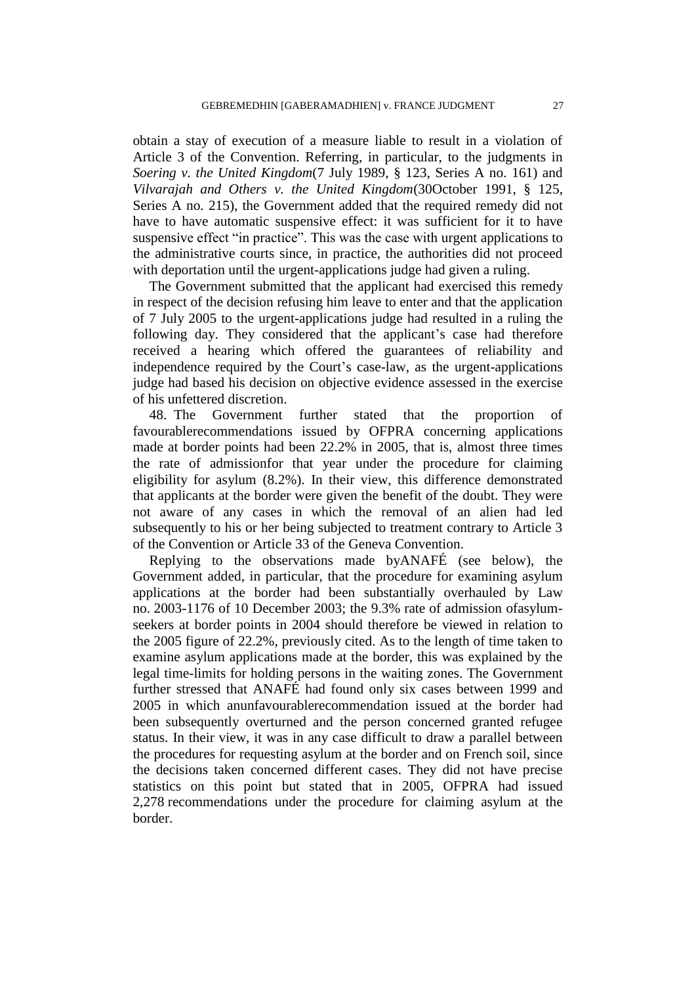obtain a stay of execution of a measure liable to result in a violation of Article 3 of the Convention. Referring, in particular, to the judgments in *Soering v. the United Kingdom*(7 July 1989, § 123, Series A no. 161) and *Vilvarajah and Others v. the United Kingdom*(30October 1991, § 125, Series A no. 215), the Government added that the required remedy did not have to have automatic suspensive effect: it was sufficient for it to have suspensive effect "in practice". This was the case with urgent applications to the administrative courts since, in practice, the authorities did not proceed with deportation until the urgent-applications judge had given a ruling.

The Government submitted that the applicant had exercised this remedy in respect of the decision refusing him leave to enter and that the application of 7 July 2005 to the urgent-applications judge had resulted in a ruling the following day. They considered that the applicant's case had therefore received a hearing which offered the guarantees of reliability and independence required by the Court's case-law, as the urgent-applications judge had based his decision on objective evidence assessed in the exercise of his unfettered discretion.

48. The Government further stated that the proportion of favourablerecommendations issued by OFPRA concerning applications made at border points had been 22.2% in 2005, that is, almost three times the rate of admissionfor that year under the procedure for claiming eligibility for asylum (8.2%). In their view, this difference demonstrated that applicants at the border were given the benefit of the doubt. They were not aware of any cases in which the removal of an alien had led subsequently to his or her being subjected to treatment contrary to Article 3 of the Convention or Article 33 of the Geneva Convention.

Replying to the observations made byANAFÉ (see below), the Government added, in particular, that the procedure for examining asylum applications at the border had been substantially overhauled by Law no. 2003-1176 of 10 December 2003; the 9.3% rate of admission ofasylumseekers at border points in 2004 should therefore be viewed in relation to the 2005 figure of 22.2%, previously cited. As to the length of time taken to examine asylum applications made at the border, this was explained by the legal time-limits for holding persons in the waiting zones. The Government further stressed that ANAFÉ had found only six cases between 1999 and 2005 in which anunfavourablerecommendation issued at the border had been subsequently overturned and the person concerned granted refugee status. In their view, it was in any case difficult to draw a parallel between the procedures for requesting asylum at the border and on French soil, since the decisions taken concerned different cases. They did not have precise statistics on this point but stated that in 2005, OFPRA had issued 2,278 recommendations under the procedure for claiming asylum at the border.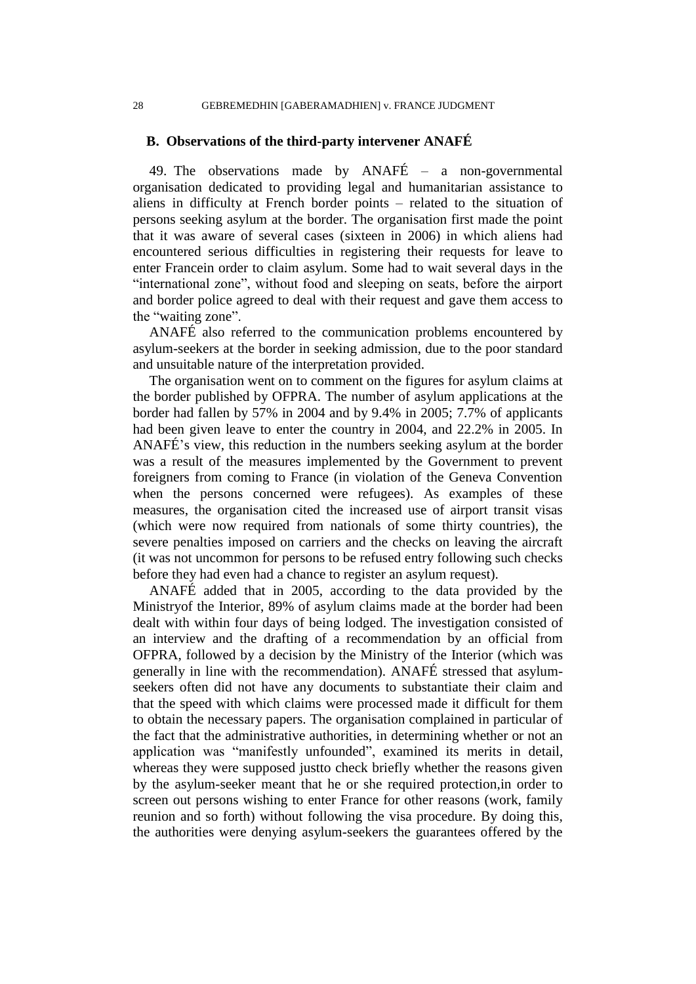### **B. Observations of the third-party intervener ANAFÉ**

49. The observations made by ANAFÉ – a non-governmental organisation dedicated to providing legal and humanitarian assistance to aliens in difficulty at French border points – related to the situation of persons seeking asylum at the border. The organisation first made the point that it was aware of several cases (sixteen in 2006) in which aliens had encountered serious difficulties in registering their requests for leave to enter Francein order to claim asylum. Some had to wait several days in the "international zone", without food and sleeping on seats, before the airport and border police agreed to deal with their request and gave them access to the "waiting zone".

ANAFÉ also referred to the communication problems encountered by asylum-seekers at the border in seeking admission, due to the poor standard and unsuitable nature of the interpretation provided.

The organisation went on to comment on the figures for asylum claims at the border published by OFPRA. The number of asylum applications at the border had fallen by 57% in 2004 and by 9.4% in 2005; 7.7% of applicants had been given leave to enter the country in 2004, and 22.2% in 2005. In ANAFÉ"s view, this reduction in the numbers seeking asylum at the border was a result of the measures implemented by the Government to prevent foreigners from coming to France (in violation of the Geneva Convention when the persons concerned were refugees). As examples of these measures, the organisation cited the increased use of airport transit visas (which were now required from nationals of some thirty countries), the severe penalties imposed on carriers and the checks on leaving the aircraft (it was not uncommon for persons to be refused entry following such checks before they had even had a chance to register an asylum request).

ANAFÉ added that in 2005, according to the data provided by the Ministryof the Interior, 89% of asylum claims made at the border had been dealt with within four days of being lodged. The investigation consisted of an interview and the drafting of a recommendation by an official from OFPRA, followed by a decision by the Ministry of the Interior (which was generally in line with the recommendation). ANAFÉ stressed that asylumseekers often did not have any documents to substantiate their claim and that the speed with which claims were processed made it difficult for them to obtain the necessary papers. The organisation complained in particular of the fact that the administrative authorities, in determining whether or not an application was "manifestly unfounded", examined its merits in detail, whereas they were supposed justto check briefly whether the reasons given by the asylum-seeker meant that he or she required protection,in order to screen out persons wishing to enter France for other reasons (work, family reunion and so forth) without following the visa procedure. By doing this, the authorities were denying asylum-seekers the guarantees offered by the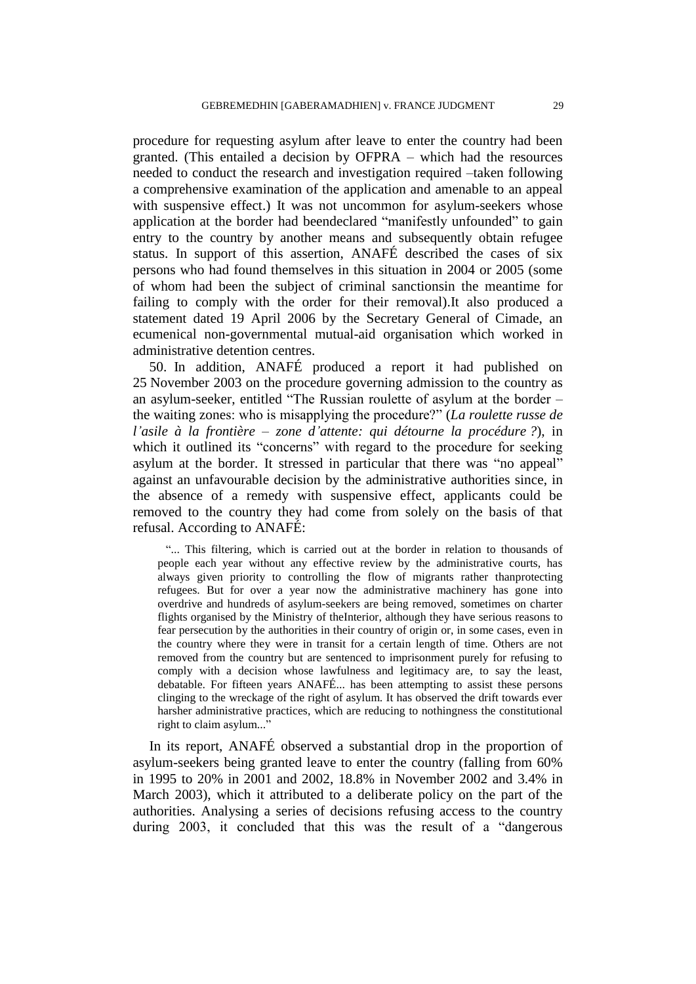procedure for requesting asylum after leave to enter the country had been granted. (This entailed a decision by OFPRA – which had the resources needed to conduct the research and investigation required –taken following a comprehensive examination of the application and amenable to an appeal with suspensive effect.) It was not uncommon for asylum-seekers whose application at the border had beendeclared "manifestly unfounded" to gain entry to the country by another means and subsequently obtain refugee status. In support of this assertion, ANAFÉ described the cases of six persons who had found themselves in this situation in 2004 or 2005 (some of whom had been the subject of criminal sanctionsin the meantime for failing to comply with the order for their removal).It also produced a statement dated 19 April 2006 by the Secretary General of Cimade, an ecumenical non-governmental mutual-aid organisation which worked in administrative detention centres.

50. In addition, ANAFÉ produced a report it had published on 25 November 2003 on the procedure governing admission to the country as an asylum-seeker, entitled "The Russian roulette of asylum at the border – the waiting zones: who is misapplying the procedure?" (*La roulette russe de l'asile à la frontière – zone d'attente: qui détourne la procédure ?*), in which it outlined its "concerns" with regard to the procedure for seeking asylum at the border. It stressed in particular that there was "no appeal" against an unfavourable decision by the administrative authorities since, in the absence of a remedy with suspensive effect, applicants could be removed to the country they had come from solely on the basis of that refusal. According to ANAFÉ:

"... This filtering, which is carried out at the border in relation to thousands of people each year without any effective review by the administrative courts, has always given priority to controlling the flow of migrants rather thanprotecting refugees. But for over a year now the administrative machinery has gone into overdrive and hundreds of asylum-seekers are being removed, sometimes on charter flights organised by the Ministry of theInterior, although they have serious reasons to fear persecution by the authorities in their country of origin or, in some cases, even in the country where they were in transit for a certain length of time. Others are not removed from the country but are sentenced to imprisonment purely for refusing to comply with a decision whose lawfulness and legitimacy are, to say the least, debatable. For fifteen years ANAFÉ... has been attempting to assist these persons clinging to the wreckage of the right of asylum. It has observed the drift towards ever harsher administrative practices, which are reducing to nothingness the constitutional right to claim asylum..."

In its report, ANAFÉ observed a substantial drop in the proportion of asylum-seekers being granted leave to enter the country (falling from 60% in 1995 to 20% in 2001 and 2002, 18.8% in November 2002 and 3.4% in March 2003), which it attributed to a deliberate policy on the part of the authorities. Analysing a series of decisions refusing access to the country during 2003, it concluded that this was the result of a "dangerous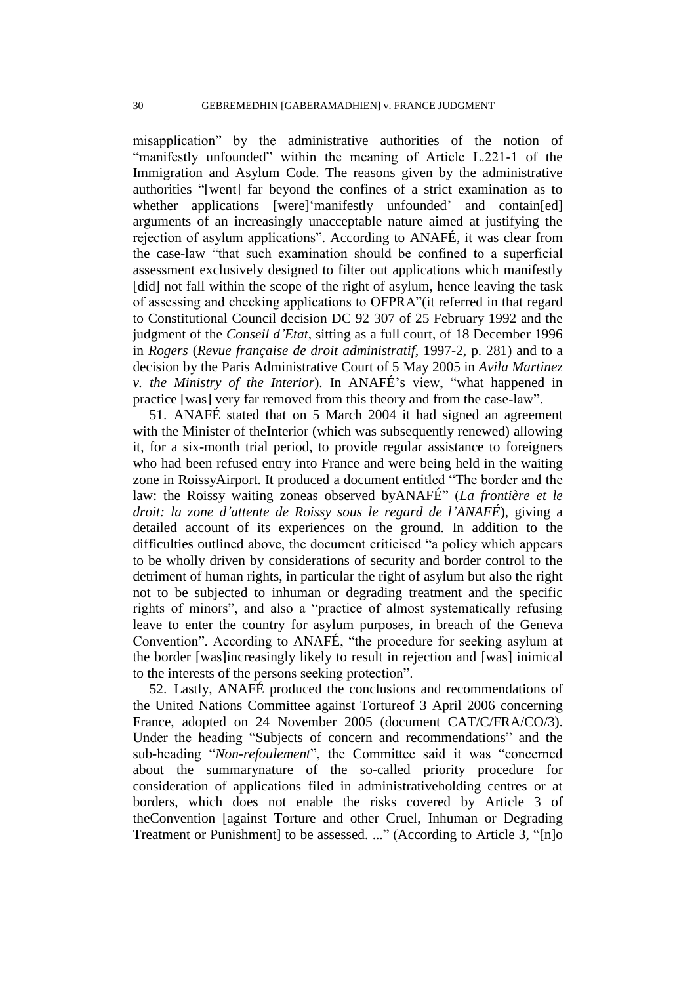misapplication" by the administrative authorities of the notion of "manifestly unfounded" within the meaning of Article L.221-1 of the Immigration and Asylum Code. The reasons given by the administrative authorities "[went] far beyond the confines of a strict examination as to whether applications [were]'manifestly unfounded' and contain[ed] arguments of an increasingly unacceptable nature aimed at justifying the rejection of asylum applications". According to ANAFÉ, it was clear from the case-law "that such examination should be confined to a superficial assessment exclusively designed to filter out applications which manifestly [did] not fall within the scope of the right of asylum, hence leaving the task of assessing and checking applications to OFPRA"(it referred in that regard to Constitutional Council decision DC 92 307 of 25 February 1992 and the judgment of the *Conseil d'Etat*, sitting as a full court, of 18 December 1996 in *Rogers* (*Revue française de droit administratif*, 1997-2, p. 281) and to a decision by the Paris Administrative Court of 5 May 2005 in *Avila Martinez v. the Ministry of the Interior*). In ANAFÉ"s view, "what happened in practice [was] very far removed from this theory and from the case-law".

51. ANAFÉ stated that on 5 March 2004 it had signed an agreement with the Minister of theInterior (which was subsequently renewed) allowing it, for a six-month trial period, to provide regular assistance to foreigners who had been refused entry into France and were being held in the waiting zone in RoissyAirport. It produced a document entitled "The border and the law: the Roissy waiting zoneas observed byANAFÉ" (*La frontière et le droit: la zone d'attente de Roissy sous le regard de l'ANAFÉ*), giving a detailed account of its experiences on the ground. In addition to the difficulties outlined above, the document criticised "a policy which appears to be wholly driven by considerations of security and border control to the detriment of human rights, in particular the right of asylum but also the right not to be subjected to inhuman or degrading treatment and the specific rights of minors", and also a "practice of almost systematically refusing leave to enter the country for asylum purposes, in breach of the Geneva Convention". According to ANAFÉ, "the procedure for seeking asylum at the border [was]increasingly likely to result in rejection and [was] inimical to the interests of the persons seeking protection".

52. Lastly, ANAFÉ produced the conclusions and recommendations of the United Nations Committee against Tortureof 3 April 2006 concerning France, adopted on 24 November 2005 (document CAT/C/FRA/CO/3). Under the heading "Subjects of concern and recommendations" and the sub-heading "*Non-refoulement*", the Committee said it was "concerned about the summarynature of the so-called priority procedure for consideration of applications filed in administrativeholding centres or at borders, which does not enable the risks covered by Article 3 of theConvention [against Torture and other Cruel, Inhuman or Degrading Treatment or Punishment] to be assessed. ..." (According to Article 3, "[n]o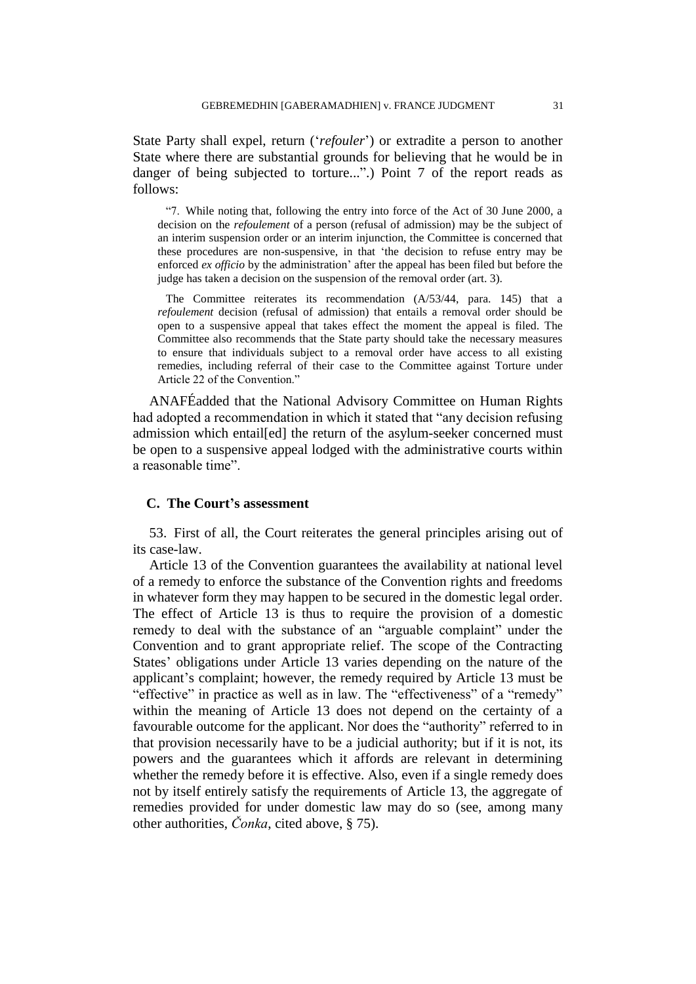State Party shall expel, return ("*refouler*") or extradite a person to another State where there are substantial grounds for believing that he would be in danger of being subjected to torture...".) Point 7 of the report reads as follows:

"7. While noting that, following the entry into force of the Act of 30 June 2000, a decision on the *refoulement* of a person (refusal of admission) may be the subject of an interim suspension order or an interim injunction, the Committee is concerned that these procedures are non-suspensive, in that "the decision to refuse entry may be enforced *ex officio* by the administration' after the appeal has been filed but before the judge has taken a decision on the suspension of the removal order (art. 3).

The Committee reiterates its recommendation (A/53/44, para. 145) that a *refoulement* decision (refusal of admission) that entails a removal order should be open to a suspensive appeal that takes effect the moment the appeal is filed. The Committee also recommends that the State party should take the necessary measures to ensure that individuals subject to a removal order have access to all existing remedies, including referral of their case to the Committee against Torture under Article 22 of the Convention."

ANAFÉadded that the National Advisory Committee on Human Rights had adopted a recommendation in which it stated that "any decision refusing admission which entail[ed] the return of the asylum-seeker concerned must be open to a suspensive appeal lodged with the administrative courts within a reasonable time".

# **C. The Court's assessment**

53. First of all, the Court reiterates the general principles arising out of its case-law.

Article 13 of the Convention guarantees the availability at national level of a remedy to enforce the substance of the Convention rights and freedoms in whatever form they may happen to be secured in the domestic legal order. The effect of Article 13 is thus to require the provision of a domestic remedy to deal with the substance of an "arguable complaint" under the Convention and to grant appropriate relief. The scope of the Contracting States' obligations under Article 13 varies depending on the nature of the applicant"s complaint; however, the remedy required by Article 13 must be "effective" in practice as well as in law. The "effectiveness" of a "remedy" within the meaning of Article 13 does not depend on the certainty of a favourable outcome for the applicant. Nor does the "authority" referred to in that provision necessarily have to be a judicial authority; but if it is not, its powers and the guarantees which it affords are relevant in determining whether the remedy before it is effective. Also, even if a single remedy does not by itself entirely satisfy the requirements of Article 13, the aggregate of remedies provided for under domestic law may do so (see, among many other authorities, *Čonka*, cited above, § 75).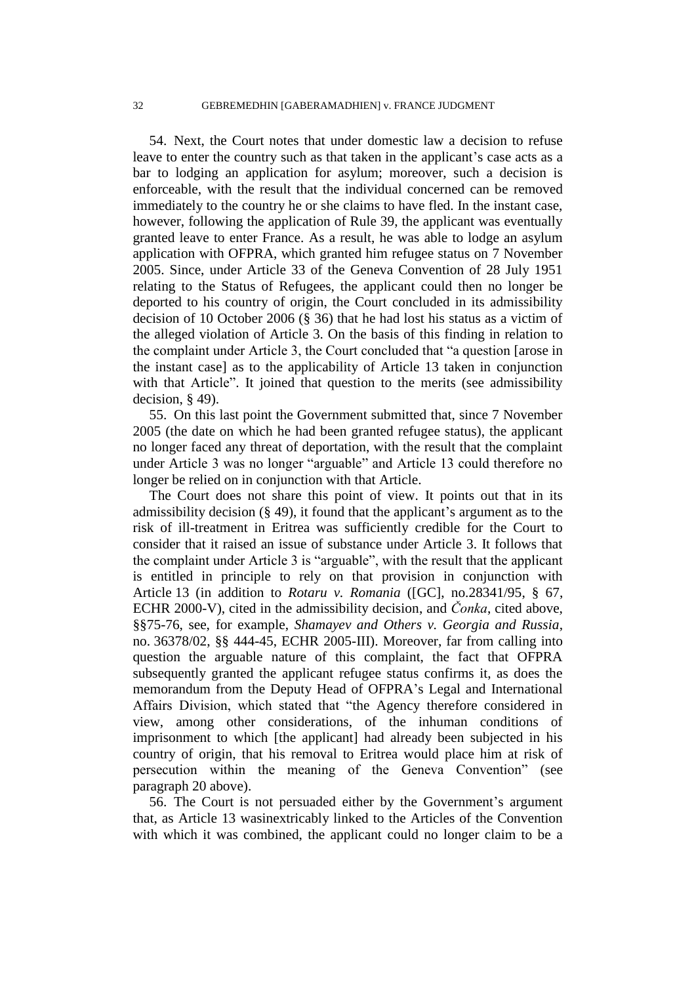54. Next, the Court notes that under domestic law a decision to refuse leave to enter the country such as that taken in the applicant's case acts as a bar to lodging an application for asylum; moreover, such a decision is enforceable, with the result that the individual concerned can be removed immediately to the country he or she claims to have fled. In the instant case, however, following the application of Rule 39, the applicant was eventually granted leave to enter France. As a result, he was able to lodge an asylum application with OFPRA, which granted him refugee status on 7 November 2005. Since, under Article 33 of the Geneva Convention of 28 July 1951 relating to the Status of Refugees, the applicant could then no longer be deported to his country of origin, the Court concluded in its admissibility decision of 10 October 2006 (§ 36) that he had lost his status as a victim of the alleged violation of Article 3. On the basis of this finding in relation to the complaint under Article 3, the Court concluded that "a question [arose in the instant case] as to the applicability of Article 13 taken in conjunction with that Article". It joined that question to the merits (see admissibility decision, § 49).

55. On this last point the Government submitted that, since 7 November 2005 (the date on which he had been granted refugee status), the applicant no longer faced any threat of deportation, with the result that the complaint under Article 3 was no longer "arguable" and Article 13 could therefore no longer be relied on in conjunction with that Article.

The Court does not share this point of view. It points out that in its admissibility decision  $(\S 49)$ , it found that the applicant's argument as to the risk of ill-treatment in Eritrea was sufficiently credible for the Court to consider that it raised an issue of substance under Article 3. It follows that the complaint under Article 3 is "arguable", with the result that the applicant is entitled in principle to rely on that provision in conjunction with Article 13 (in addition to *Rotaru v. Romania* ([GC], no.28341/95, § 67, ECHR 2000-V), cited in the admissibility decision, and *Čonka*, cited above, §§75-76, see, for example, *Shamayev and Others v. Georgia and Russia*, no. 36378/02, §§ 444-45, ECHR 2005-III). Moreover, far from calling into question the arguable nature of this complaint, the fact that OFPRA subsequently granted the applicant refugee status confirms it, as does the memorandum from the Deputy Head of OFPRA"s Legal and International Affairs Division, which stated that "the Agency therefore considered in view, among other considerations, of the inhuman conditions of imprisonment to which [the applicant] had already been subjected in his country of origin, that his removal to Eritrea would place him at risk of persecution within the meaning of the Geneva Convention" (see paragraph 20 above).

56. The Court is not persuaded either by the Government"s argument that, as Article 13 wasinextricably linked to the Articles of the Convention with which it was combined, the applicant could no longer claim to be a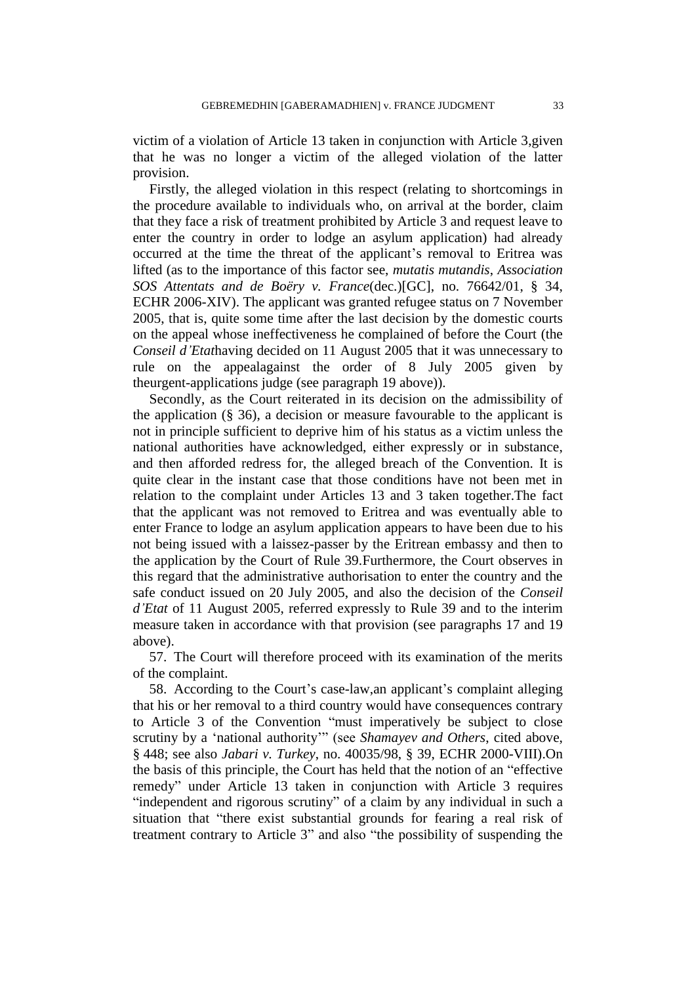victim of a violation of Article 13 taken in conjunction with Article 3,given that he was no longer a victim of the alleged violation of the latter provision.

Firstly, the alleged violation in this respect (relating to shortcomings in the procedure available to individuals who, on arrival at the border, claim that they face a risk of treatment prohibited by Article 3 and request leave to enter the country in order to lodge an asylum application) had already occurred at the time the threat of the applicant's removal to Eritrea was lifted (as to the importance of this factor see, *mutatis mutandis*, *Association SOS Attentats and de Boëry v. France*(dec.)[GC], no. 76642/01, § 34, ECHR 2006-XIV). The applicant was granted refugee status on 7 November 2005, that is, quite some time after the last decision by the domestic courts on the appeal whose ineffectiveness he complained of before the Court (the *Conseil d'Etat*having decided on 11 August 2005 that it was unnecessary to rule on the appealagainst the order of 8 July 2005 given by theurgent-applications judge (see paragraph 19 above)).

Secondly, as the Court reiterated in its decision on the admissibility of the application  $(\S 36)$ , a decision or measure favourable to the applicant is not in principle sufficient to deprive him of his status as a victim unless the national authorities have acknowledged, either expressly or in substance, and then afforded redress for, the alleged breach of the Convention. It is quite clear in the instant case that those conditions have not been met in relation to the complaint under Articles 13 and 3 taken together.The fact that the applicant was not removed to Eritrea and was eventually able to enter France to lodge an asylum application appears to have been due to his not being issued with a laissez-passer by the Eritrean embassy and then to the application by the Court of Rule 39.Furthermore, the Court observes in this regard that the administrative authorisation to enter the country and the safe conduct issued on 20 July 2005, and also the decision of the *Conseil d'Etat* of 11 August 2005, referred expressly to Rule 39 and to the interim measure taken in accordance with that provision (see paragraphs 17 and 19 above).

57. The Court will therefore proceed with its examination of the merits of the complaint.

58. According to the Court's case-law, an applicant's complaint alleging that his or her removal to a third country would have consequences contrary to Article 3 of the Convention "must imperatively be subject to close scrutiny by a "national authority"" (see *Shamayev and Others*, cited above, § 448; see also *Jabari v. Turkey*, no. 40035/98, § 39, ECHR 2000-VIII).On the basis of this principle, the Court has held that the notion of an "effective remedy" under Article 13 taken in conjunction with Article 3 requires "independent and rigorous scrutiny" of a claim by any individual in such a situation that "there exist substantial grounds for fearing a real risk of treatment contrary to Article 3" and also "the possibility of suspending the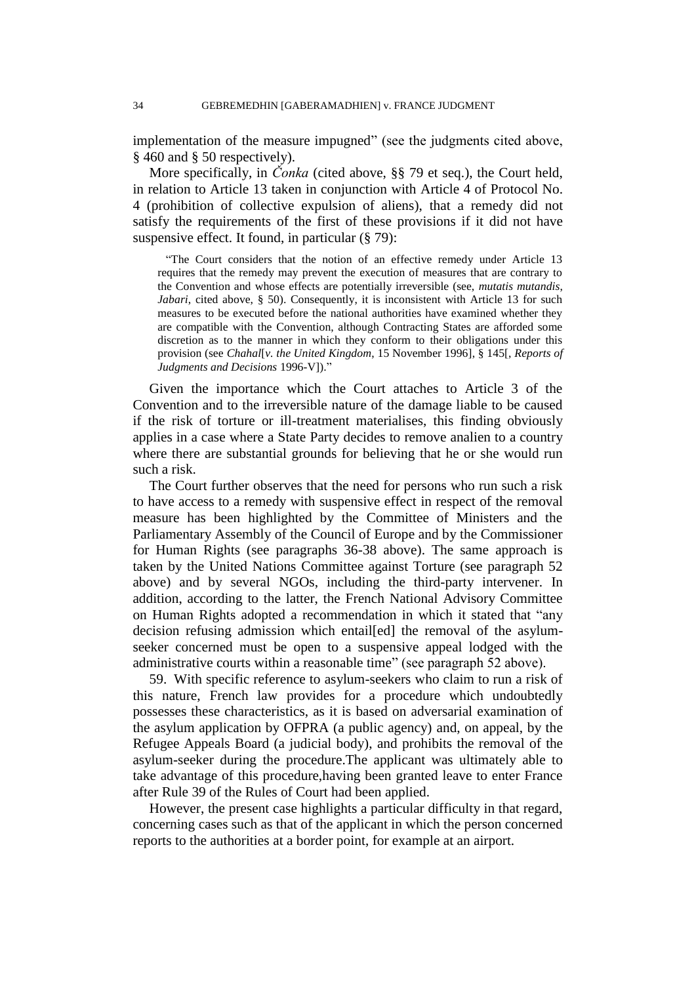implementation of the measure impugned" (see the judgments cited above, § 460 and § 50 respectively).

More specifically, in *Čonka* (cited above, §§ 79 et seq.), the Court held, in relation to Article 13 taken in conjunction with Article 4 of Protocol No. 4 (prohibition of collective expulsion of aliens), that a remedy did not satisfy the requirements of the first of these provisions if it did not have suspensive effect. It found, in particular (§ 79):

"The Court considers that the notion of an effective remedy under Article 13 requires that the remedy may prevent the execution of measures that are contrary to the Convention and whose effects are potentially irreversible (see, *mutatis mutandis*, *Jabari*, cited above, § 50). Consequently, it is inconsistent with Article 13 for such measures to be executed before the national authorities have examined whether they are compatible with the Convention, although Contracting States are afforded some discretion as to the manner in which they conform to their obligations under this provision (see *Chahal*[*v. the United Kingdom*, 15 November 1996], § 145[, *Reports of Judgments and Decisions* 1996-V])."

Given the importance which the Court attaches to Article 3 of the Convention and to the irreversible nature of the damage liable to be caused if the risk of torture or ill-treatment materialises, this finding obviously applies in a case where a State Party decides to remove analien to a country where there are substantial grounds for believing that he or she would run such a risk.

The Court further observes that the need for persons who run such a risk to have access to a remedy with suspensive effect in respect of the removal measure has been highlighted by the Committee of Ministers and the Parliamentary Assembly of the Council of Europe and by the Commissioner for Human Rights (see paragraphs 36-38 above). The same approach is taken by the United Nations Committee against Torture (see paragraph 52 above) and by several NGOs, including the third-party intervener. In addition, according to the latter, the French National Advisory Committee on Human Rights adopted a recommendation in which it stated that "any decision refusing admission which entail[ed] the removal of the asylumseeker concerned must be open to a suspensive appeal lodged with the administrative courts within a reasonable time" (see paragraph 52 above).

59. With specific reference to asylum-seekers who claim to run a risk of this nature, French law provides for a procedure which undoubtedly possesses these characteristics, as it is based on adversarial examination of the asylum application by OFPRA (a public agency) and, on appeal, by the Refugee Appeals Board (a judicial body), and prohibits the removal of the asylum-seeker during the procedure.The applicant was ultimately able to take advantage of this procedure,having been granted leave to enter France after Rule 39 of the Rules of Court had been applied.

However, the present case highlights a particular difficulty in that regard, concerning cases such as that of the applicant in which the person concerned reports to the authorities at a border point, for example at an airport.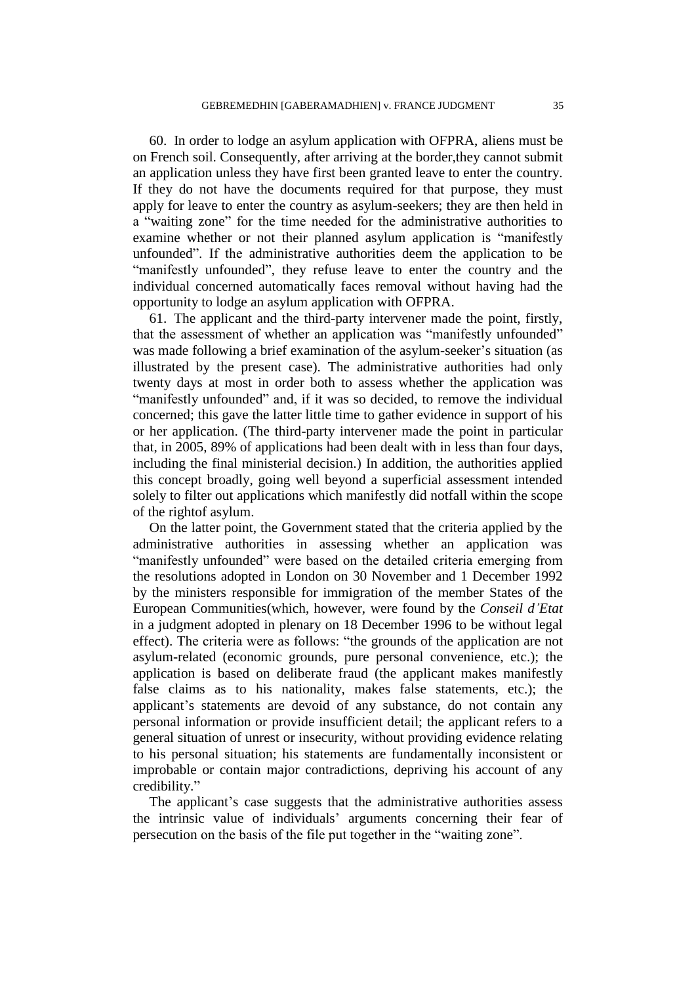60. In order to lodge an asylum application with OFPRA, aliens must be on French soil. Consequently, after arriving at the border,they cannot submit an application unless they have first been granted leave to enter the country. If they do not have the documents required for that purpose, they must apply for leave to enter the country as asylum-seekers; they are then held in a "waiting zone" for the time needed for the administrative authorities to examine whether or not their planned asylum application is "manifestly unfounded". If the administrative authorities deem the application to be "manifestly unfounded", they refuse leave to enter the country and the individual concerned automatically faces removal without having had the opportunity to lodge an asylum application with OFPRA.

61. The applicant and the third-party intervener made the point, firstly, that the assessment of whether an application was "manifestly unfounded" was made following a brief examination of the asylum-seeker's situation (as illustrated by the present case). The administrative authorities had only twenty days at most in order both to assess whether the application was "manifestly unfounded" and, if it was so decided, to remove the individual concerned; this gave the latter little time to gather evidence in support of his or her application. (The third-party intervener made the point in particular that, in 2005, 89% of applications had been dealt with in less than four days, including the final ministerial decision.) In addition, the authorities applied this concept broadly, going well beyond a superficial assessment intended solely to filter out applications which manifestly did notfall within the scope of the rightof asylum.

On the latter point, the Government stated that the criteria applied by the administrative authorities in assessing whether an application was "manifestly unfounded" were based on the detailed criteria emerging from the resolutions adopted in London on 30 November and 1 December 1992 by the ministers responsible for immigration of the member States of the European Communities(which, however, were found by the *Conseil d'Etat* in a judgment adopted in plenary on 18 December 1996 to be without legal effect). The criteria were as follows: "the grounds of the application are not asylum-related (economic grounds, pure personal convenience, etc.); the application is based on deliberate fraud (the applicant makes manifestly false claims as to his nationality, makes false statements, etc.); the applicant"s statements are devoid of any substance, do not contain any personal information or provide insufficient detail; the applicant refers to a general situation of unrest or insecurity, without providing evidence relating to his personal situation; his statements are fundamentally inconsistent or improbable or contain major contradictions, depriving his account of any credibility."

The applicant's case suggests that the administrative authorities assess the intrinsic value of individuals" arguments concerning their fear of persecution on the basis of the file put together in the "waiting zone".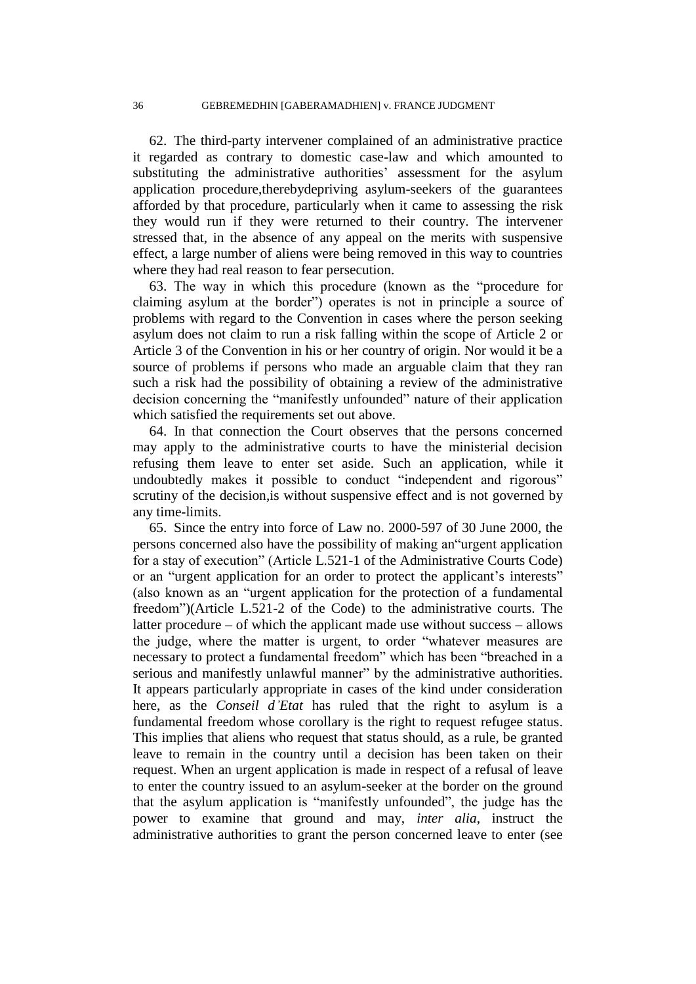62. The third-party intervener complained of an administrative practice it regarded as contrary to domestic case-law and which amounted to substituting the administrative authorities' assessment for the asylum application procedure,therebydepriving asylum-seekers of the guarantees afforded by that procedure, particularly when it came to assessing the risk they would run if they were returned to their country. The intervener stressed that, in the absence of any appeal on the merits with suspensive effect, a large number of aliens were being removed in this way to countries where they had real reason to fear persecution.

63. The way in which this procedure (known as the "procedure for claiming asylum at the border") operates is not in principle a source of problems with regard to the Convention in cases where the person seeking asylum does not claim to run a risk falling within the scope of Article 2 or Article 3 of the Convention in his or her country of origin. Nor would it be a source of problems if persons who made an arguable claim that they ran such a risk had the possibility of obtaining a review of the administrative decision concerning the "manifestly unfounded" nature of their application which satisfied the requirements set out above.

64. In that connection the Court observes that the persons concerned may apply to the administrative courts to have the ministerial decision refusing them leave to enter set aside. Such an application, while it undoubtedly makes it possible to conduct "independent and rigorous" scrutiny of the decision,is without suspensive effect and is not governed by any time-limits.

65. Since the entry into force of Law no. 2000-597 of 30 June 2000, the persons concerned also have the possibility of making an"urgent application for a stay of execution" (Article L.521-1 of the Administrative Courts Code) or an "urgent application for an order to protect the applicant's interests" (also known as an "urgent application for the protection of a fundamental freedom")(Article L.521-2 of the Code) to the administrative courts. The latter procedure – of which the applicant made use without success – allows the judge, where the matter is urgent, to order "whatever measures are necessary to protect a fundamental freedom" which has been "breached in a serious and manifestly unlawful manner" by the administrative authorities. It appears particularly appropriate in cases of the kind under consideration here, as the *Conseil d'Etat* has ruled that the right to asylum is a fundamental freedom whose corollary is the right to request refugee status. This implies that aliens who request that status should, as a rule, be granted leave to remain in the country until a decision has been taken on their request. When an urgent application is made in respect of a refusal of leave to enter the country issued to an asylum-seeker at the border on the ground that the asylum application is "manifestly unfounded", the judge has the power to examine that ground and may, *inter alia*, instruct the administrative authorities to grant the person concerned leave to enter (see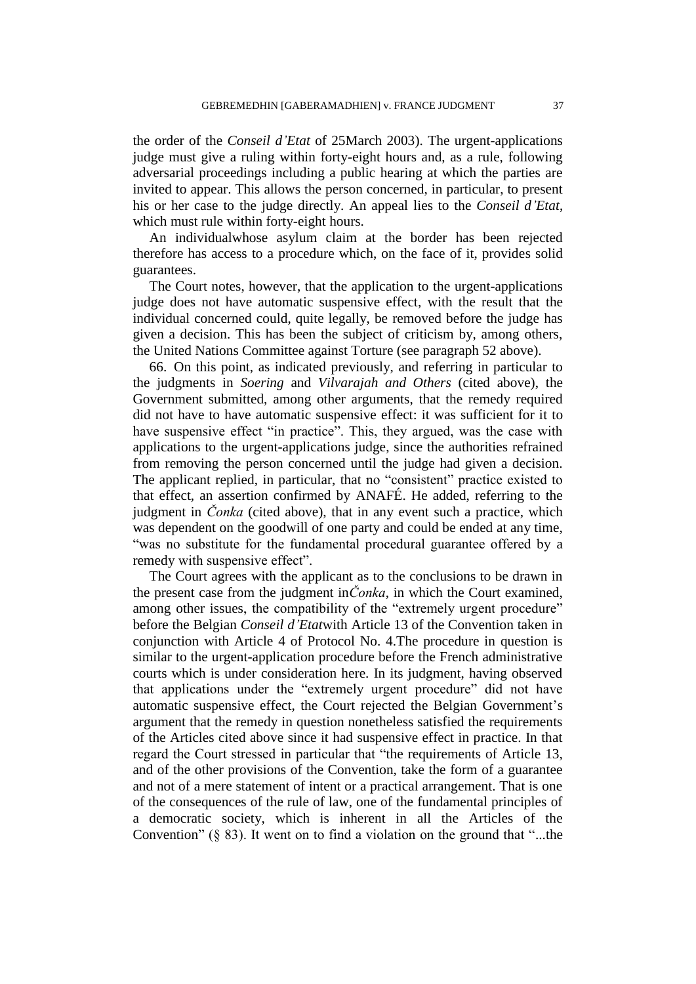the order of the *Conseil d'Etat* of 25March 2003). The urgent-applications judge must give a ruling within forty-eight hours and, as a rule, following adversarial proceedings including a public hearing at which the parties are invited to appear. This allows the person concerned, in particular, to present his or her case to the judge directly. An appeal lies to the *Conseil d'Etat*, which must rule within forty-eight hours.

An individualwhose asylum claim at the border has been rejected therefore has access to a procedure which, on the face of it, provides solid guarantees.

The Court notes, however, that the application to the urgent-applications judge does not have automatic suspensive effect, with the result that the individual concerned could, quite legally, be removed before the judge has given a decision. This has been the subject of criticism by, among others, the United Nations Committee against Torture (see paragraph 52 above).

66. On this point, as indicated previously, and referring in particular to the judgments in *Soering* and *Vilvarajah and Others* (cited above), the Government submitted, among other arguments, that the remedy required did not have to have automatic suspensive effect: it was sufficient for it to have suspensive effect "in practice". This, they argued, was the case with applications to the urgent-applications judge, since the authorities refrained from removing the person concerned until the judge had given a decision. The applicant replied, in particular, that no "consistent" practice existed to that effect, an assertion confirmed by ANAFÉ. He added, referring to the judgment in *Čonka* (cited above), that in any event such a practice, which was dependent on the goodwill of one party and could be ended at any time, "was no substitute for the fundamental procedural guarantee offered by a remedy with suspensive effect".

The Court agrees with the applicant as to the conclusions to be drawn in the present case from the judgment in*Čonka*, in which the Court examined, among other issues, the compatibility of the "extremely urgent procedure" before the Belgian *Conseil d'Etat*with Article 13 of the Convention taken in conjunction with Article 4 of Protocol No. 4.The procedure in question is similar to the urgent-application procedure before the French administrative courts which is under consideration here. In its judgment, having observed that applications under the "extremely urgent procedure" did not have automatic suspensive effect, the Court rejected the Belgian Government's argument that the remedy in question nonetheless satisfied the requirements of the Articles cited above since it had suspensive effect in practice. In that regard the Court stressed in particular that "the requirements of Article 13, and of the other provisions of the Convention, take the form of a guarantee and not of a mere statement of intent or a practical arrangement. That is one of the consequences of the rule of law, one of the fundamental principles of a democratic society, which is inherent in all the Articles of the Convention"  $(\S$  83). It went on to find a violation on the ground that "...the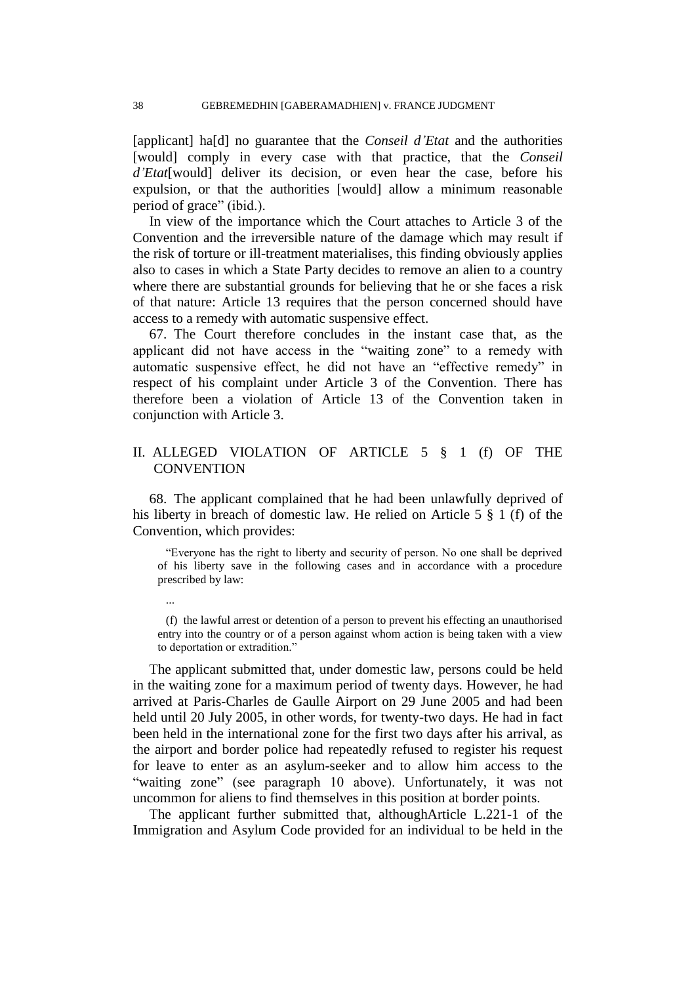[applicant] ha[d] no guarantee that the *Conseil d'Etat* and the authorities [would] comply in every case with that practice, that the *Conseil d'Etat*[would] deliver its decision, or even hear the case, before his expulsion, or that the authorities [would] allow a minimum reasonable period of grace" (ibid.).

In view of the importance which the Court attaches to Article 3 of the Convention and the irreversible nature of the damage which may result if the risk of torture or ill-treatment materialises, this finding obviously applies also to cases in which a State Party decides to remove an alien to a country where there are substantial grounds for believing that he or she faces a risk of that nature: Article 13 requires that the person concerned should have access to a remedy with automatic suspensive effect.

67. The Court therefore concludes in the instant case that, as the applicant did not have access in the "waiting zone" to a remedy with automatic suspensive effect, he did not have an "effective remedy" in respect of his complaint under Article 3 of the Convention. There has therefore been a violation of Article 13 of the Convention taken in conjunction with Article 3.

# II. ALLEGED VIOLATION OF ARTICLE 5 § 1 (f) OF THE **CONVENTION**

68. The applicant complained that he had been unlawfully deprived of his liberty in breach of domestic law. He relied on Article 5 § 1 (f) of the Convention, which provides:

"Everyone has the right to liberty and security of person. No one shall be deprived of his liberty save in the following cases and in accordance with a procedure prescribed by law:

(f) the lawful arrest or detention of a person to prevent his effecting an unauthorised entry into the country or of a person against whom action is being taken with a view to deportation or extradition."

The applicant submitted that, under domestic law, persons could be held in the waiting zone for a maximum period of twenty days. However, he had arrived at Paris-Charles de Gaulle Airport on 29 June 2005 and had been held until 20 July 2005, in other words, for twenty-two days. He had in fact been held in the international zone for the first two days after his arrival, as the airport and border police had repeatedly refused to register his request for leave to enter as an asylum-seeker and to allow him access to the "waiting zone" (see paragraph 10 above). Unfortunately, it was not uncommon for aliens to find themselves in this position at border points.

The applicant further submitted that, althoughArticle L.221-1 of the Immigration and Asylum Code provided for an individual to be held in the

...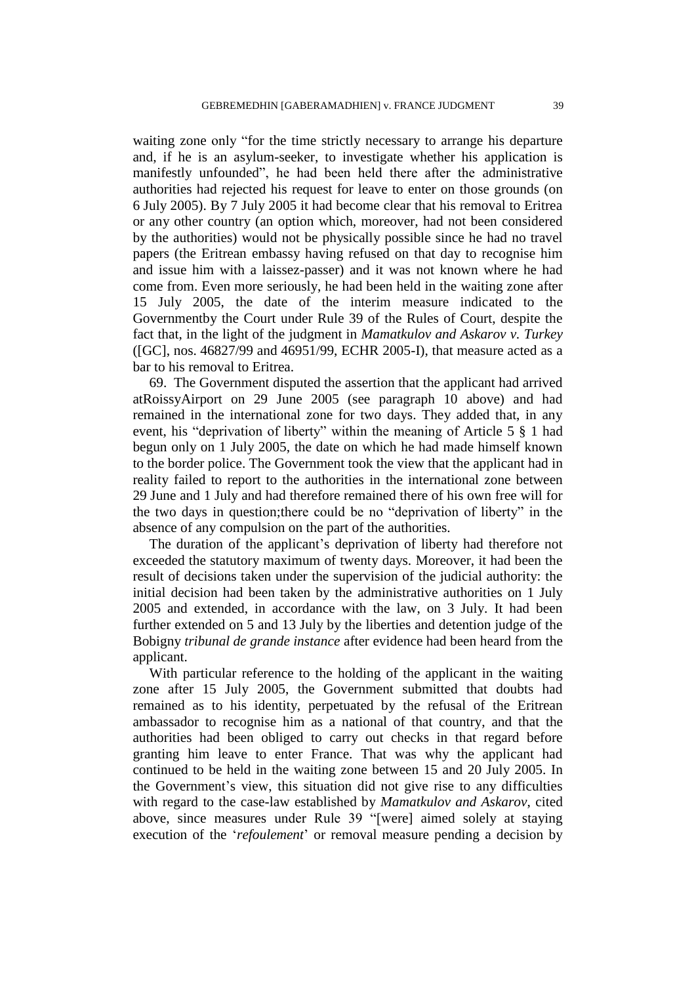waiting zone only "for the time strictly necessary to arrange his departure and, if he is an asylum-seeker, to investigate whether his application is manifestly unfounded", he had been held there after the administrative authorities had rejected his request for leave to enter on those grounds (on 6 July 2005). By 7 July 2005 it had become clear that his removal to Eritrea or any other country (an option which, moreover, had not been considered by the authorities) would not be physically possible since he had no travel papers (the Eritrean embassy having refused on that day to recognise him and issue him with a laissez-passer) and it was not known where he had come from. Even more seriously, he had been held in the waiting zone after 15 July 2005, the date of the interim measure indicated to the Governmentby the Court under Rule 39 of the Rules of Court, despite the fact that, in the light of the judgment in *Mamatkulov and Askarov v. Turkey* ([GC], nos. 46827/99 and 46951/99, ECHR 2005-I), that measure acted as a bar to his removal to Eritrea.

69. The Government disputed the assertion that the applicant had arrived atRoissyAirport on 29 June 2005 (see paragraph 10 above) and had remained in the international zone for two days. They added that, in any event, his "deprivation of liberty" within the meaning of Article 5 § 1 had begun only on 1 July 2005, the date on which he had made himself known to the border police. The Government took the view that the applicant had in reality failed to report to the authorities in the international zone between 29 June and 1 July and had therefore remained there of his own free will for the two days in question;there could be no "deprivation of liberty" in the absence of any compulsion on the part of the authorities.

The duration of the applicant"s deprivation of liberty had therefore not exceeded the statutory maximum of twenty days. Moreover, it had been the result of decisions taken under the supervision of the judicial authority: the initial decision had been taken by the administrative authorities on 1 July 2005 and extended, in accordance with the law, on 3 July. It had been further extended on 5 and 13 July by the liberties and detention judge of the Bobigny *tribunal de grande instance* after evidence had been heard from the applicant.

With particular reference to the holding of the applicant in the waiting zone after 15 July 2005, the Government submitted that doubts had remained as to his identity, perpetuated by the refusal of the Eritrean ambassador to recognise him as a national of that country, and that the authorities had been obliged to carry out checks in that regard before granting him leave to enter France. That was why the applicant had continued to be held in the waiting zone between 15 and 20 July 2005. In the Government"s view, this situation did not give rise to any difficulties with regard to the case-law established by *Mamatkulov and Askarov*, cited above, since measures under Rule 39 "[were] aimed solely at staying execution of the *'refoulement'* or removal measure pending a decision by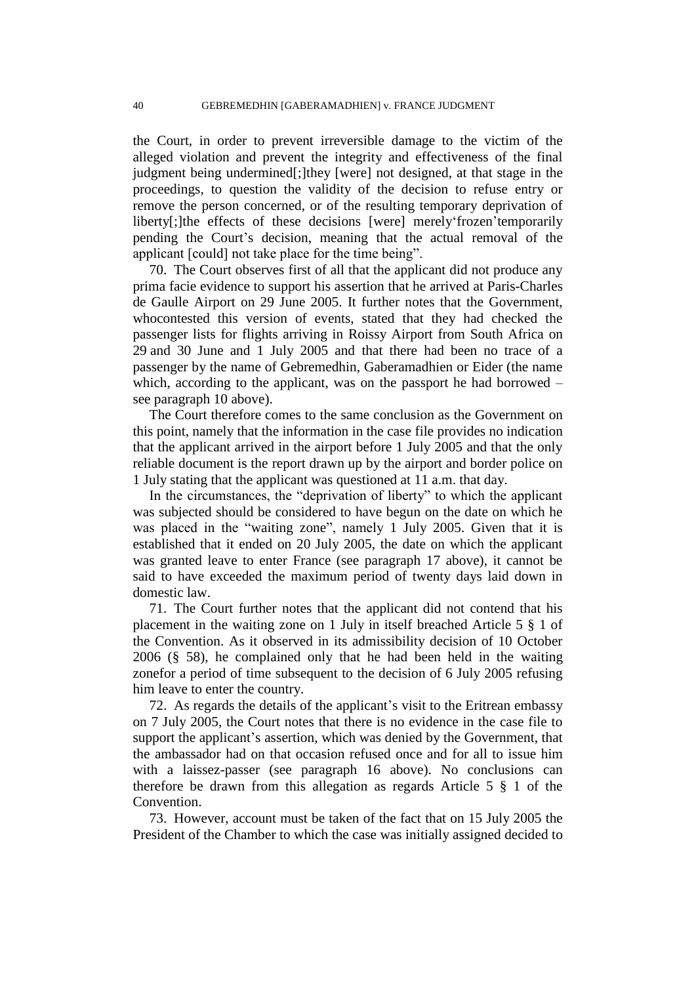the Court, in order to prevent irreversible damage to the victim of the alleged violation and prevent the integrity and effectiveness of the final judgment being undermined[;]they [were] not designed, at that stage in the proceedings, to question the validity of the decision to refuse entry or remove the person concerned, or of the resulting temporary deprivation of liberty[;]the effects of these decisions [were] merely frozen 'temporarily pending the Court"s decision, meaning that the actual removal of the applicant [could] not take place for the time being".

70. The Court observes first of all that the applicant did not produce any prima facie evidence to support his assertion that he arrived at Paris-Charles de Gaulle Airport on 29 June 2005. It further notes that the Government, whocontested this version of events, stated that they had checked the passenger lists for flights arriving in Roissy Airport from South Africa on 29 and 30 June and 1 July 2005 and that there had been no trace of a passenger by the name of Gebremedhin, Gaberamadhien or Eider (the name which, according to the applicant, was on the passport he had borrowed – see paragraph 10 above).

The Court therefore comes to the same conclusion as the Government on this point, namely that the information in the case file provides no indication that the applicant arrived in the airport before 1 July 2005 and that the only reliable document is the report drawn up by the airport and border police on 1 July stating that the applicant was questioned at 11 a.m. that day.

In the circumstances, the "deprivation of liberty" to which the applicant was subjected should be considered to have begun on the date on which he was placed in the "waiting zone", namely 1 July 2005. Given that it is established that it ended on 20 July 2005, the date on which the applicant was granted leave to enter France (see paragraph 17 above), it cannot be said to have exceeded the maximum period of twenty days laid down in domestic law.

71. The Court further notes that the applicant did not contend that his placement in the waiting zone on 1 July in itself breached Article 5 § 1 of the Convention. As it observed in its admissibility decision of 10 October 2006 (§ 58), he complained only that he had been held in the waiting zonefor a period of time subsequent to the decision of 6 July 2005 refusing him leave to enter the country.

72. As regards the details of the applicant"s visit to the Eritrean embassy on 7 July 2005, the Court notes that there is no evidence in the case file to support the applicant's assertion, which was denied by the Government, that the ambassador had on that occasion refused once and for all to issue him with a laissez-passer (see paragraph 16 above). No conclusions can therefore be drawn from this allegation as regards Article 5 § 1 of the Convention.

73. However, account must be taken of the fact that on 15 July 2005 the President of the Chamber to which the case was initially assigned decided to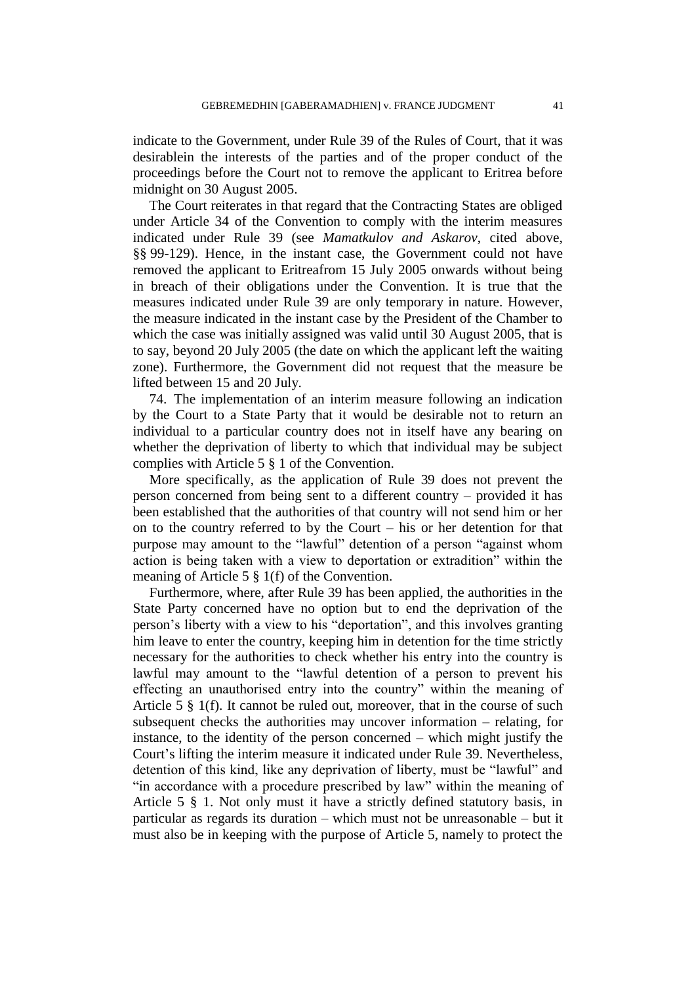indicate to the Government, under Rule 39 of the Rules of Court, that it was desirablein the interests of the parties and of the proper conduct of the proceedings before the Court not to remove the applicant to Eritrea before midnight on 30 August 2005.

The Court reiterates in that regard that the Contracting States are obliged under Article 34 of the Convention to comply with the interim measures indicated under Rule 39 (see *Mamatkulov and Askarov*, cited above, §§ 99-129). Hence, in the instant case, the Government could not have removed the applicant to Eritreafrom 15 July 2005 onwards without being in breach of their obligations under the Convention. It is true that the measures indicated under Rule 39 are only temporary in nature. However, the measure indicated in the instant case by the President of the Chamber to which the case was initially assigned was valid until 30 August 2005, that is to say, beyond 20 July 2005 (the date on which the applicant left the waiting zone). Furthermore, the Government did not request that the measure be lifted between 15 and 20 July.

74. The implementation of an interim measure following an indication by the Court to a State Party that it would be desirable not to return an individual to a particular country does not in itself have any bearing on whether the deprivation of liberty to which that individual may be subject complies with Article 5 § 1 of the Convention.

More specifically, as the application of Rule 39 does not prevent the person concerned from being sent to a different country – provided it has been established that the authorities of that country will not send him or her on to the country referred to by the Court – his or her detention for that purpose may amount to the "lawful" detention of a person "against whom action is being taken with a view to deportation or extradition" within the meaning of Article 5 § 1(f) of the Convention.

Furthermore, where, after Rule 39 has been applied, the authorities in the State Party concerned have no option but to end the deprivation of the person"s liberty with a view to his "deportation", and this involves granting him leave to enter the country, keeping him in detention for the time strictly necessary for the authorities to check whether his entry into the country is lawful may amount to the "lawful detention of a person to prevent his effecting an unauthorised entry into the country" within the meaning of Article 5 § 1(f). It cannot be ruled out, moreover, that in the course of such subsequent checks the authorities may uncover information – relating, for instance, to the identity of the person concerned – which might justify the Court's lifting the interim measure it indicated under Rule 39. Nevertheless, detention of this kind, like any deprivation of liberty, must be "lawful" and "in accordance with a procedure prescribed by law" within the meaning of Article 5 § 1. Not only must it have a strictly defined statutory basis, in particular as regards its duration – which must not be unreasonable – but it must also be in keeping with the purpose of Article 5, namely to protect the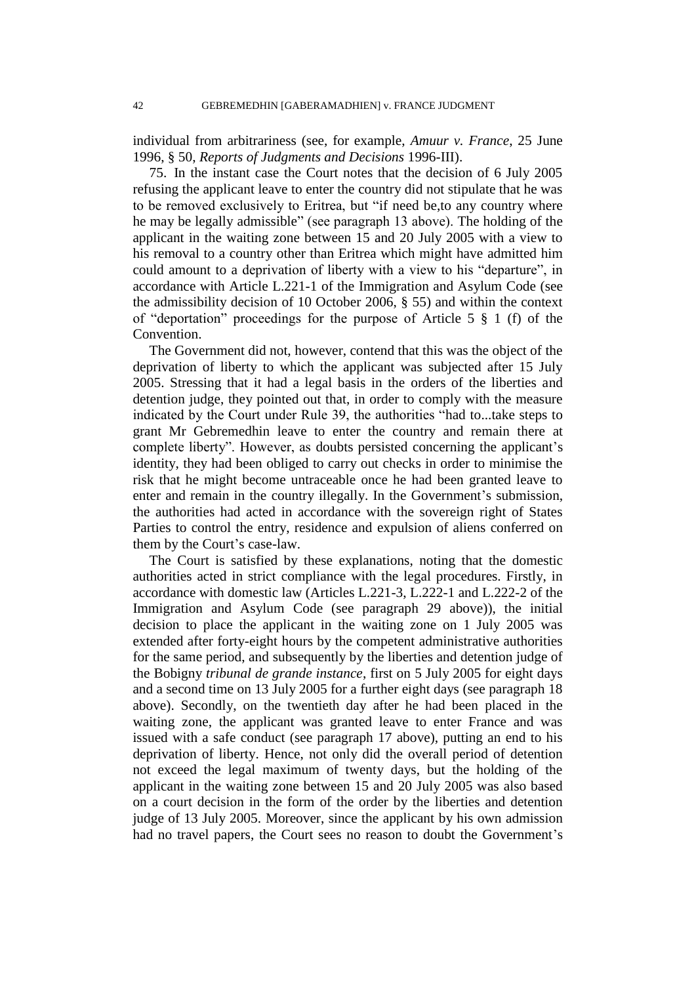individual from arbitrariness (see, for example, *Amuur v. France*, 25 June 1996, § 50, *Reports of Judgments and Decisions* 1996-III).

75. In the instant case the Court notes that the decision of 6 July 2005 refusing the applicant leave to enter the country did not stipulate that he was to be removed exclusively to Eritrea, but "if need be,to any country where he may be legally admissible" (see paragraph 13 above). The holding of the applicant in the waiting zone between 15 and 20 July 2005 with a view to his removal to a country other than Eritrea which might have admitted him could amount to a deprivation of liberty with a view to his "departure", in accordance with Article L.221-1 of the Immigration and Asylum Code (see the admissibility decision of 10 October 2006, § 55) and within the context of "deportation" proceedings for the purpose of Article 5 § 1 (f) of the Convention.

The Government did not, however, contend that this was the object of the deprivation of liberty to which the applicant was subjected after 15 July 2005. Stressing that it had a legal basis in the orders of the liberties and detention judge, they pointed out that, in order to comply with the measure indicated by the Court under Rule 39, the authorities "had to...take steps to grant Mr Gebremedhin leave to enter the country and remain there at complete liberty". However, as doubts persisted concerning the applicant's identity, they had been obliged to carry out checks in order to minimise the risk that he might become untraceable once he had been granted leave to enter and remain in the country illegally. In the Government's submission, the authorities had acted in accordance with the sovereign right of States Parties to control the entry, residence and expulsion of aliens conferred on them by the Court's case-law.

The Court is satisfied by these explanations, noting that the domestic authorities acted in strict compliance with the legal procedures. Firstly, in accordance with domestic law (Articles L.221-3, L.222-1 and L.222-2 of the Immigration and Asylum Code (see paragraph 29 above)), the initial decision to place the applicant in the waiting zone on 1 July 2005 was extended after forty-eight hours by the competent administrative authorities for the same period, and subsequently by the liberties and detention judge of the Bobigny *tribunal de grande instance*, first on 5 July 2005 for eight days and a second time on 13 July 2005 for a further eight days (see paragraph 18 above). Secondly, on the twentieth day after he had been placed in the waiting zone, the applicant was granted leave to enter France and was issued with a safe conduct (see paragraph 17 above), putting an end to his deprivation of liberty. Hence, not only did the overall period of detention not exceed the legal maximum of twenty days, but the holding of the applicant in the waiting zone between 15 and 20 July 2005 was also based on a court decision in the form of the order by the liberties and detention judge of 13 July 2005. Moreover, since the applicant by his own admission had no travel papers, the Court sees no reason to doubt the Government's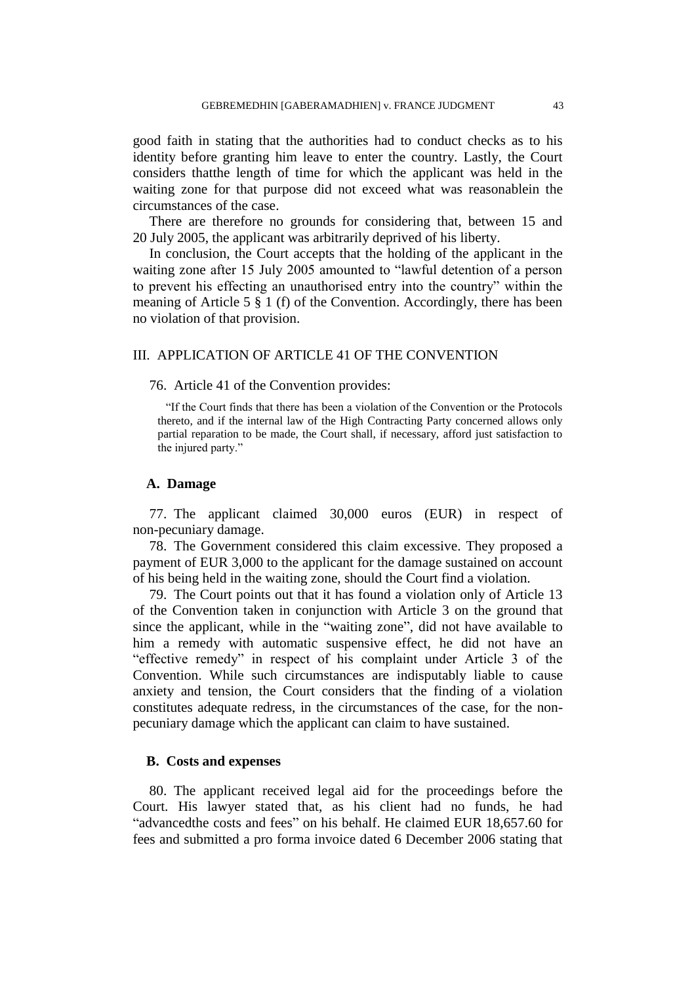good faith in stating that the authorities had to conduct checks as to his identity before granting him leave to enter the country. Lastly, the Court considers thatthe length of time for which the applicant was held in the waiting zone for that purpose did not exceed what was reasonablein the circumstances of the case.

There are therefore no grounds for considering that, between 15 and 20 July 2005, the applicant was arbitrarily deprived of his liberty.

In conclusion, the Court accepts that the holding of the applicant in the waiting zone after 15 July 2005 amounted to "lawful detention of a person to prevent his effecting an unauthorised entry into the country" within the meaning of Article 5 § 1 (f) of the Convention. Accordingly, there has been no violation of that provision.

# III. APPLICATION OF ARTICLE 41 OF THE CONVENTION

### 76. Article 41 of the Convention provides:

"If the Court finds that there has been a violation of the Convention or the Protocols thereto, and if the internal law of the High Contracting Party concerned allows only partial reparation to be made, the Court shall, if necessary, afford just satisfaction to the injured party."

# **A. Damage**

77. The applicant claimed 30,000 euros (EUR) in respect of non-pecuniary damage.

78. The Government considered this claim excessive. They proposed a payment of EUR 3,000 to the applicant for the damage sustained on account of his being held in the waiting zone, should the Court find a violation.

79. The Court points out that it has found a violation only of Article 13 of the Convention taken in conjunction with Article 3 on the ground that since the applicant, while in the "waiting zone", did not have available to him a remedy with automatic suspensive effect, he did not have an "effective remedy" in respect of his complaint under Article 3 of the Convention. While such circumstances are indisputably liable to cause anxiety and tension, the Court considers that the finding of a violation constitutes adequate redress, in the circumstances of the case, for the nonpecuniary damage which the applicant can claim to have sustained.

# **B. Costs and expenses**

80. The applicant received legal aid for the proceedings before the Court. His lawyer stated that, as his client had no funds, he had "advancedthe costs and fees" on his behalf. He claimed EUR 18,657.60 for fees and submitted a pro forma invoice dated 6 December 2006 stating that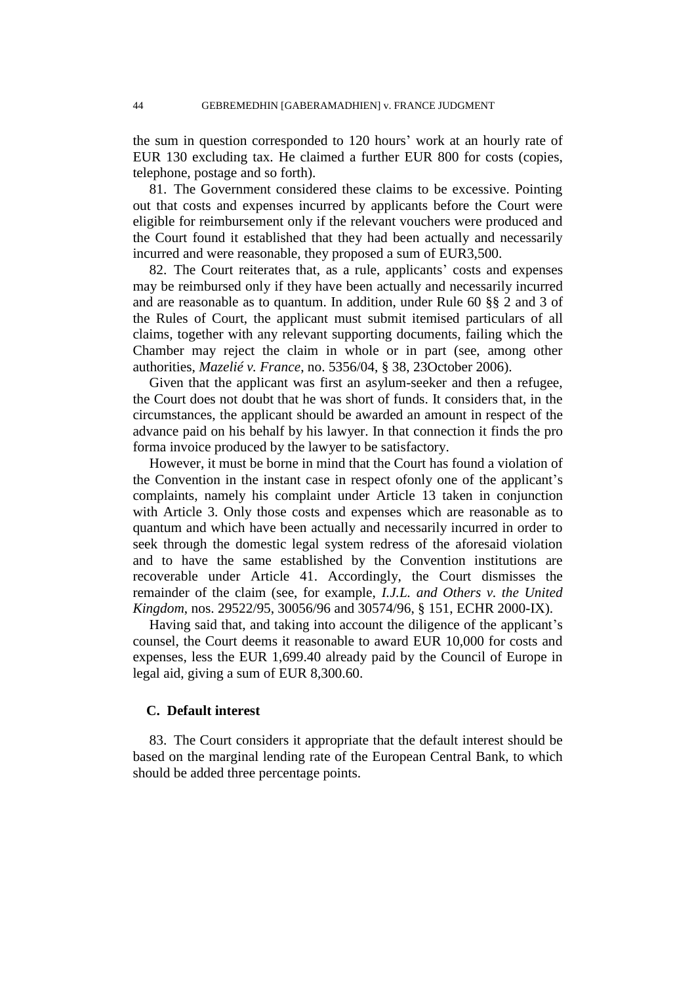the sum in question corresponded to 120 hours" work at an hourly rate of EUR 130 excluding tax. He claimed a further EUR 800 for costs (copies, telephone, postage and so forth).

81. The Government considered these claims to be excessive. Pointing out that costs and expenses incurred by applicants before the Court were eligible for reimbursement only if the relevant vouchers were produced and the Court found it established that they had been actually and necessarily incurred and were reasonable, they proposed a sum of EUR3,500.

82. The Court reiterates that, as a rule, applicants' costs and expenses may be reimbursed only if they have been actually and necessarily incurred and are reasonable as to quantum. In addition, under Rule 60 §§ 2 and 3 of the Rules of Court, the applicant must submit itemised particulars of all claims, together with any relevant supporting documents, failing which the Chamber may reject the claim in whole or in part (see, among other authorities, *Mazelié v. France*, no. 5356/04, § 38, 23October 2006).

Given that the applicant was first an asylum-seeker and then a refugee, the Court does not doubt that he was short of funds. It considers that, in the circumstances, the applicant should be awarded an amount in respect of the advance paid on his behalf by his lawyer. In that connection it finds the pro forma invoice produced by the lawyer to be satisfactory.

However, it must be borne in mind that the Court has found a violation of the Convention in the instant case in respect of only one of the applicant's complaints, namely his complaint under Article 13 taken in conjunction with Article 3. Only those costs and expenses which are reasonable as to quantum and which have been actually and necessarily incurred in order to seek through the domestic legal system redress of the aforesaid violation and to have the same established by the Convention institutions are recoverable under Article 41. Accordingly, the Court dismisses the remainder of the claim (see, for example, *I.J.L. and Others v. the United Kingdom*, nos. 29522/95, 30056/96 and 30574/96, § 151, ECHR 2000-IX).

Having said that, and taking into account the diligence of the applicant's counsel, the Court deems it reasonable to award EUR 10,000 for costs and expenses, less the EUR 1,699.40 already paid by the Council of Europe in legal aid, giving a sum of EUR 8,300.60.

# **C. Default interest**

83. The Court considers it appropriate that the default interest should be based on the marginal lending rate of the European Central Bank, to which should be added three percentage points.